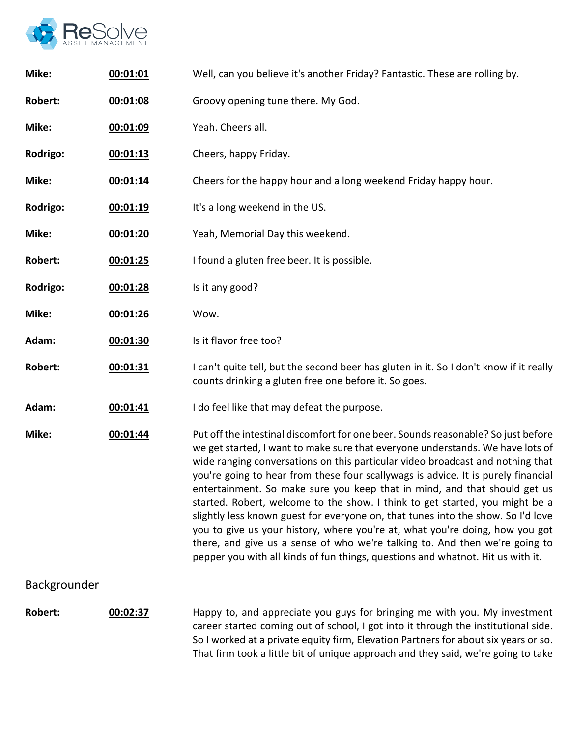

| Mike:               | 00:01:01 | Well, can you believe it's another Friday? Fantastic. These are rolling by.                                                                                                                                                                                                                                                                                                                                                                                                                                                                                                                                                                                                                                                                                                                                                                   |
|---------------------|----------|-----------------------------------------------------------------------------------------------------------------------------------------------------------------------------------------------------------------------------------------------------------------------------------------------------------------------------------------------------------------------------------------------------------------------------------------------------------------------------------------------------------------------------------------------------------------------------------------------------------------------------------------------------------------------------------------------------------------------------------------------------------------------------------------------------------------------------------------------|
| <b>Robert:</b>      | 00:01:08 | Groovy opening tune there. My God.                                                                                                                                                                                                                                                                                                                                                                                                                                                                                                                                                                                                                                                                                                                                                                                                            |
| Mike:               | 00:01:09 | Yeah. Cheers all.                                                                                                                                                                                                                                                                                                                                                                                                                                                                                                                                                                                                                                                                                                                                                                                                                             |
| Rodrigo:            | 00:01:13 | Cheers, happy Friday.                                                                                                                                                                                                                                                                                                                                                                                                                                                                                                                                                                                                                                                                                                                                                                                                                         |
| Mike:               | 00:01:14 | Cheers for the happy hour and a long weekend Friday happy hour.                                                                                                                                                                                                                                                                                                                                                                                                                                                                                                                                                                                                                                                                                                                                                                               |
| Rodrigo:            | 00:01:19 | It's a long weekend in the US.                                                                                                                                                                                                                                                                                                                                                                                                                                                                                                                                                                                                                                                                                                                                                                                                                |
| Mike:               | 00:01:20 | Yeah, Memorial Day this weekend.                                                                                                                                                                                                                                                                                                                                                                                                                                                                                                                                                                                                                                                                                                                                                                                                              |
| Robert:             | 00:01:25 | I found a gluten free beer. It is possible.                                                                                                                                                                                                                                                                                                                                                                                                                                                                                                                                                                                                                                                                                                                                                                                                   |
| Rodrigo:            | 00:01:28 | Is it any good?                                                                                                                                                                                                                                                                                                                                                                                                                                                                                                                                                                                                                                                                                                                                                                                                                               |
| Mike:               | 00:01:26 | Wow.                                                                                                                                                                                                                                                                                                                                                                                                                                                                                                                                                                                                                                                                                                                                                                                                                                          |
| Adam:               | 00:01:30 | Is it flavor free too?                                                                                                                                                                                                                                                                                                                                                                                                                                                                                                                                                                                                                                                                                                                                                                                                                        |
| <b>Robert:</b>      | 00:01:31 | I can't quite tell, but the second beer has gluten in it. So I don't know if it really<br>counts drinking a gluten free one before it. So goes.                                                                                                                                                                                                                                                                                                                                                                                                                                                                                                                                                                                                                                                                                               |
| Adam:               | 00:01:41 | I do feel like that may defeat the purpose.                                                                                                                                                                                                                                                                                                                                                                                                                                                                                                                                                                                                                                                                                                                                                                                                   |
| Mike:               | 00:01:44 | Put off the intestinal discomfort for one beer. Sounds reasonable? So just before<br>we get started, I want to make sure that everyone understands. We have lots of<br>wide ranging conversations on this particular video broadcast and nothing that<br>you're going to hear from these four scallywags is advice. It is purely financial<br>entertainment. So make sure you keep that in mind, and that should get us<br>started. Robert, welcome to the show. I think to get started, you might be a<br>slightly less known guest for everyone on, that tunes into the show. So I'd love<br>you to give us your history, where you're at, what you're doing, how you got<br>there, and give us a sense of who we're talking to. And then we're going to<br>pepper you with all kinds of fun things, questions and whatnot. Hit us with it. |
| <b>Backgrounder</b> |          |                                                                                                                                                                                                                                                                                                                                                                                                                                                                                                                                                                                                                                                                                                                                                                                                                                               |
| Robert:             | 00:02:37 | Happy to, and appreciate you guys for bringing me with you. My investment<br>career started coming out of school, I got into it through the institutional side.<br>So I worked at a private equity firm, Elevation Partners for about six years or so.                                                                                                                                                                                                                                                                                                                                                                                                                                                                                                                                                                                        |

So I worked at a private equity firm, Elevation Partners for about six years or so. That firm took a little bit of unique approach and they said, we're going to take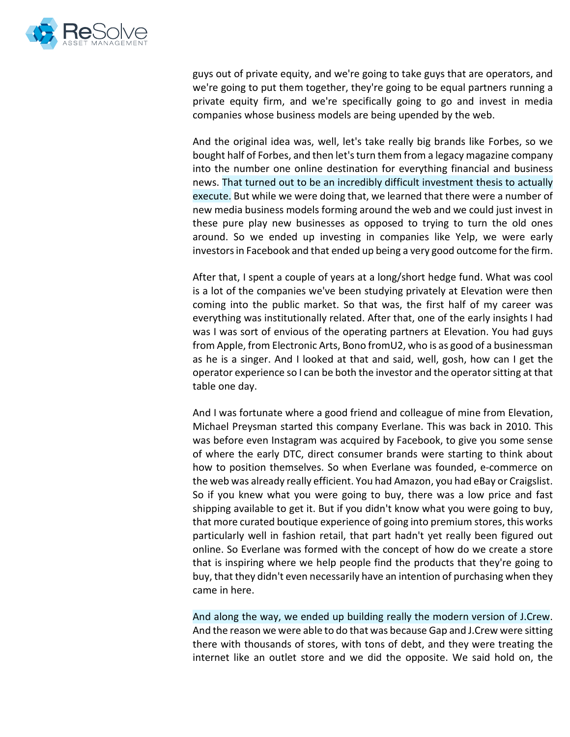

guys out of private equity, and we're going to take guys that are operators, and we're going to put them together, they're going to be equal partners running a private equity firm, and we're specifically going to go and invest in media companies whose business models are being upended by the web.

And the original idea was, well, let's take really big brands like Forbes, so we bought half of Forbes, and then let's turn them from a legacy magazine company into the number one online destination for everything financial and business news. That turned out to be an incredibly difficult investment thesis to actually execute. But while we were doing that, we learned that there were a number of new media business models forming around the web and we could just invest in these pure play new businesses as opposed to trying to turn the old ones around. So we ended up investing in companies like Yelp, we were early investors in Facebook and that ended up being a very good outcome for the firm.

After that, I spent a couple of years at a long/short hedge fund. What was cool is a lot of the companies we've been studying privately at Elevation were then coming into the public market. So that was, the first half of my career was everything was institutionally related. After that, one of the early insights I had was I was sort of envious of the operating partners at Elevation. You had guys from Apple, from Electronic Arts, Bono fromU2, who is as good of a businessman as he is a singer. And I looked at that and said, well, gosh, how can I get the operator experience so I can be both the investor and the operator sitting at that table one day.

And I was fortunate where a good friend and colleague of mine from Elevation, Michael Preysman started this company Everlane. This was back in 2010. This was before even Instagram was acquired by Facebook, to give you some sense of where the early DTC, direct consumer brands were starting to think about how to position themselves. So when Everlane was founded, e-commerce on the web was already really efficient. You had Amazon, you had eBay or Craigslist. So if you knew what you were going to buy, there was a low price and fast shipping available to get it. But if you didn't know what you were going to buy, that more curated boutique experience of going into premium stores, this works particularly well in fashion retail, that part hadn't yet really been figured out online. So Everlane was formed with the concept of how do we create a store that is inspiring where we help people find the products that they're going to buy, that they didn't even necessarily have an intention of purchasing when they came in here.

And along the way, we ended up building really the modern version of J.Crew. And the reason we were able to do that was because Gap and J.Crew were sitting there with thousands of stores, with tons of debt, and they were treating the internet like an outlet store and we did the opposite. We said hold on, the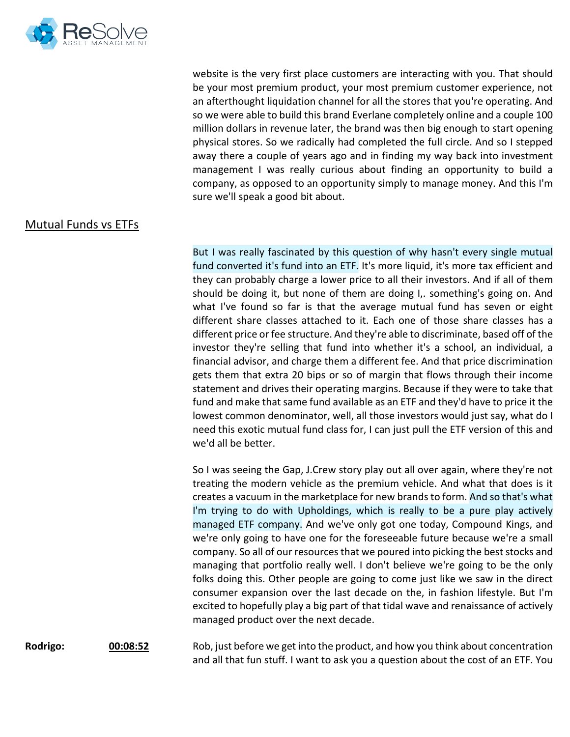

website is the very first place customers are interacting with you. That should be your most premium product, your most premium customer experience, not an afterthought liquidation channel for all the stores that you're operating. And so we were able to build this brand Everlane completely online and a couple 100 million dollars in revenue later, the brand was then big enough to start opening physical stores. So we radically had completed the full circle. And so I stepped away there a couple of years ago and in finding my way back into investment management I was really curious about finding an opportunity to build a company, as opposed to an opportunity simply to manage money. And this I'm sure we'll speak a good bit about.

## Mutual Funds vs ETFs

But I was really fascinated by this question of why hasn't every single mutual fund converted it's fund into an ETF. It's more liquid, it's more tax efficient and they can probably charge a lower price to all their investors. And if all of them should be doing it, but none of them are doing I,. something's going on. And what I've found so far is that the average mutual fund has seven or eight different share classes attached to it. Each one of those share classes has a different price or fee structure. And they're able to discriminate, based off of the investor they're selling that fund into whether it's a school, an individual, a financial advisor, and charge them a different fee. And that price discrimination gets them that extra 20 bips or so of margin that flows through their income statement and drives their operating margins. Because if they were to take that fund and make that same fund available as an ETF and they'd have to price it the lowest common denominator, well, all those investors would just say, what do I need this exotic mutual fund class for, I can just pull the ETF version of this and we'd all be better.

So I was seeing the Gap, J.Crew story play out all over again, where they're not treating the modern vehicle as the premium vehicle. And what that does is it creates a vacuum in the marketplace for new brands to form. And so that's what I'm trying to do with Upholdings, which is really to be a pure play actively managed ETF company. And we've only got one today, Compound Kings, and we're only going to have one for the foreseeable future because we're a small company. So all of our resources that we poured into picking the best stocks and managing that portfolio really well. I don't believe we're going to be the only folks doing this. Other people are going to come just like we saw in the direct consumer expansion over the last decade on the, in fashion lifestyle. But I'm excited to hopefully play a big part of that tidal wave and renaissance of actively managed product over the next decade.

**Rodrigo: 00:08:52** Rob, just before we get into the product, and how you think about concentration and all that fun stuff. I want to ask you a question about the cost of an ETF. You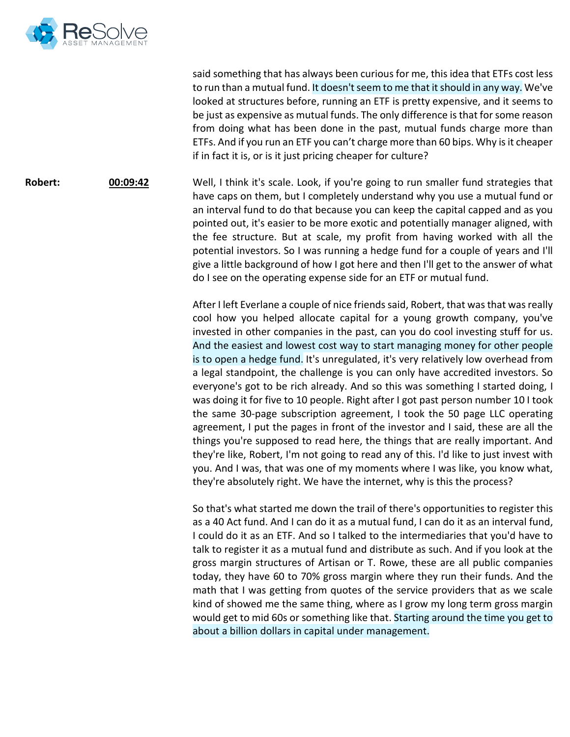

said something that has always been curious for me, this idea that ETFs cost less to run than a mutual fund. It doesn't seem to me that it should in any way. We've looked at structures before, running an ETF is pretty expensive, and it seems to be just as expensive as mutual funds. The only difference is that for some reason from doing what has been done in the past, mutual funds charge more than ETFs. And if you run an ETF you can't charge more than 60 bips. Why is it cheaper if in fact it is, or is it just pricing cheaper for culture?

**Robert: <b>00:09:42** Well, I think it's scale. Look, if you're going to run smaller fund strategies that have caps on them, but I completely understand why you use a mutual fund or an interval fund to do that because you can keep the capital capped and as you pointed out, it's easier to be more exotic and potentially manager aligned, with the fee structure. But at scale, my profit from having worked with all the potential investors. So I was running a hedge fund for a couple of years and I'll give a little background of how I got here and then I'll get to the answer of what do I see on the operating expense side for an ETF or mutual fund.

> After I left Everlane a couple of nice friends said, Robert, that was that was really cool how you helped allocate capital for a young growth company, you've invested in other companies in the past, can you do cool investing stuff for us. And the easiest and lowest cost way to start managing money for other people is to open a hedge fund. It's unregulated, it's very relatively low overhead from a legal standpoint, the challenge is you can only have accredited investors. So everyone's got to be rich already. And so this was something I started doing, I was doing it for five to 10 people. Right after I got past person number 10 I took the same 30-page subscription agreement, I took the 50 page LLC operating agreement, I put the pages in front of the investor and I said, these are all the things you're supposed to read here, the things that are really important. And they're like, Robert, I'm not going to read any of this. I'd like to just invest with you. And I was, that was one of my moments where I was like, you know what, they're absolutely right. We have the internet, why is this the process?

> So that's what started me down the trail of there's opportunities to register this as a 40 Act fund. And I can do it as a mutual fund, I can do it as an interval fund, I could do it as an ETF. And so I talked to the intermediaries that you'd have to talk to register it as a mutual fund and distribute as such. And if you look at the gross margin structures of Artisan or T. Rowe, these are all public companies today, they have 60 to 70% gross margin where they run their funds. And the math that I was getting from quotes of the service providers that as we scale kind of showed me the same thing, where as I grow my long term gross margin would get to mid 60s or something like that. Starting around the time you get to about a billion dollars in capital under management.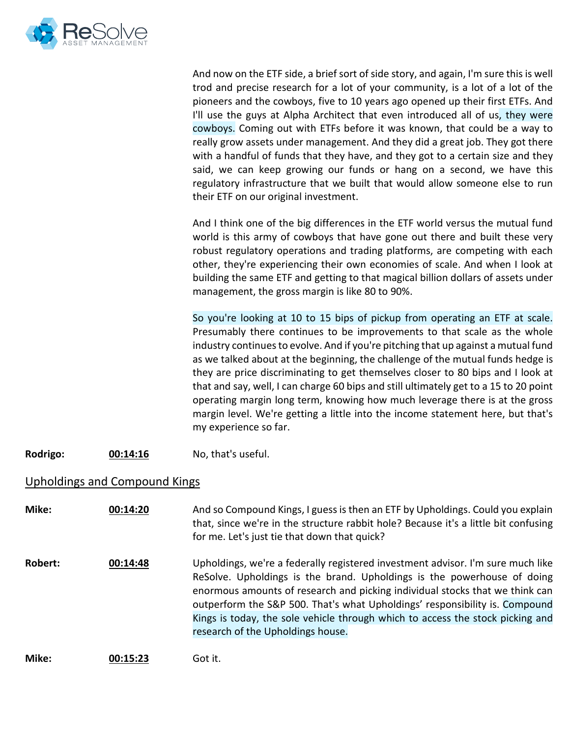

And now on the ETF side, a brief sort of side story, and again, I'm sure this is well trod and precise research for a lot of your community, is a lot of a lot of the pioneers and the cowboys, five to 10 years ago opened up their first ETFs. And I'll use the guys at Alpha Architect that even introduced all of us, they were cowboys. Coming out with ETFs before it was known, that could be a way to really grow assets under management. And they did a great job. They got there with a handful of funds that they have, and they got to a certain size and they said, we can keep growing our funds or hang on a second, we have this regulatory infrastructure that we built that would allow someone else to run their ETF on our original investment.

And I think one of the big differences in the ETF world versus the mutual fund world is this army of cowboys that have gone out there and built these very robust regulatory operations and trading platforms, are competing with each other, they're experiencing their own economies of scale. And when I look at building the same ETF and getting to that magical billion dollars of assets under management, the gross margin is like 80 to 90%.

So you're looking at 10 to 15 bips of pickup from operating an ETF at scale. Presumably there continues to be improvements to that scale as the whole industry continues to evolve. And if you're pitching that up against a mutual fund as we talked about at the beginning, the challenge of the mutual funds hedge is they are price discriminating to get themselves closer to 80 bips and I look at that and say, well, I can charge 60 bips and still ultimately get to a 15 to 20 point operating margin long term, knowing how much leverage there is at the gross margin level. We're getting a little into the income statement here, but that's my experience so far.

**Rodrigo: 00:14:16** No, that's useful.

## Upholdings and Compound Kings

| Mike:   | 00:14:20 | And so Compound Kings, I guess is then an ETF by Upholdings. Could you explain<br>that, since we're in the structure rabbit hole? Because it's a little bit confusing<br>for me. Let's just tie that down that quick?                                                                                                     |
|---------|----------|---------------------------------------------------------------------------------------------------------------------------------------------------------------------------------------------------------------------------------------------------------------------------------------------------------------------------|
| Robert: | 00:14:48 | Upholdings, we're a federally registered investment advisor. I'm sure much like<br>ReSolve. Upholdings is the brand. Upholdings is the powerhouse of doing<br>enormous amounts of research and picking individual stocks that we think can<br>outperform the S&P 500. That's what Upholdings' responsibility is. Compound |
|         |          | Kings is today, the sole vehicle through which to access the stock picking and<br>research of the Upholdings house.                                                                                                                                                                                                       |
| Mike:   | 00:15:23 | Got it.                                                                                                                                                                                                                                                                                                                   |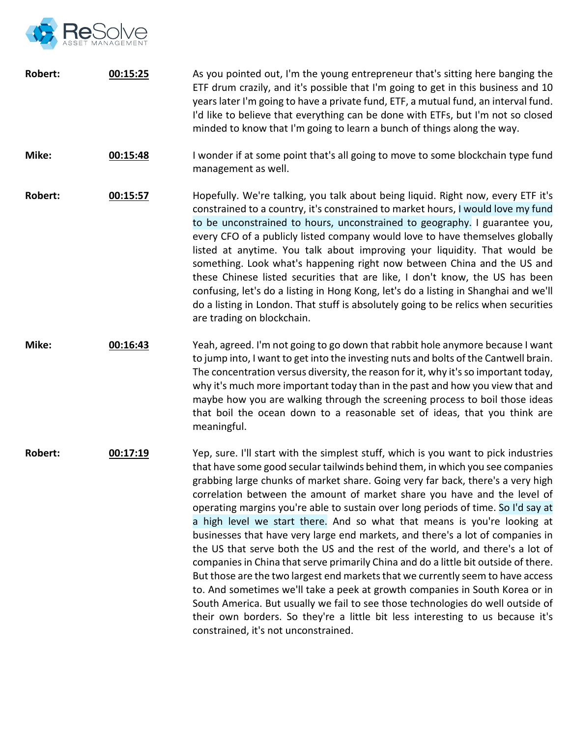

| <b>Robert:</b> | 00:15:25 | As you pointed out, I'm the young entrepreneur that's sitting here banging the<br>ETF drum crazily, and it's possible that I'm going to get in this business and 10<br>years later I'm going to have a private fund, ETF, a mutual fund, an interval fund.<br>I'd like to believe that everything can be done with ETFs, but I'm not so closed<br>minded to know that I'm going to learn a bunch of things along the way.                                                                                                                                                                                                                                                                                                                                                                                                                                                                                                                                                                                                                                                                                                                      |
|----------------|----------|------------------------------------------------------------------------------------------------------------------------------------------------------------------------------------------------------------------------------------------------------------------------------------------------------------------------------------------------------------------------------------------------------------------------------------------------------------------------------------------------------------------------------------------------------------------------------------------------------------------------------------------------------------------------------------------------------------------------------------------------------------------------------------------------------------------------------------------------------------------------------------------------------------------------------------------------------------------------------------------------------------------------------------------------------------------------------------------------------------------------------------------------|
| Mike:          | 00:15:48 | I wonder if at some point that's all going to move to some blockchain type fund<br>management as well.                                                                                                                                                                                                                                                                                                                                                                                                                                                                                                                                                                                                                                                                                                                                                                                                                                                                                                                                                                                                                                         |
| <b>Robert:</b> | 00:15:57 | Hopefully. We're talking, you talk about being liquid. Right now, every ETF it's<br>constrained to a country, it's constrained to market hours, I would love my fund<br>to be unconstrained to hours, unconstrained to geography. I guarantee you,<br>every CFO of a publicly listed company would love to have themselves globally<br>listed at anytime. You talk about improving your liquidity. That would be<br>something. Look what's happening right now between China and the US and<br>these Chinese listed securities that are like, I don't know, the US has been<br>confusing, let's do a listing in Hong Kong, let's do a listing in Shanghai and we'll<br>do a listing in London. That stuff is absolutely going to be relics when securities<br>are trading on blockchain.                                                                                                                                                                                                                                                                                                                                                       |
| Mike:          | 00:16:43 | Yeah, agreed. I'm not going to go down that rabbit hole anymore because I want<br>to jump into, I want to get into the investing nuts and bolts of the Cantwell brain.<br>The concentration versus diversity, the reason for it, why it's so important today,<br>why it's much more important today than in the past and how you view that and<br>maybe how you are walking through the screening process to boil those ideas<br>that boil the ocean down to a reasonable set of ideas, that you think are<br>meaningful.                                                                                                                                                                                                                                                                                                                                                                                                                                                                                                                                                                                                                      |
| <b>Robert:</b> | 00:17:19 | Yep, sure. I'll start with the simplest stuff, which is you want to pick industries<br>that have some good secular tailwinds behind them, in which you see companies<br>grabbing large chunks of market share. Going very far back, there's a very high<br>correlation between the amount of market share you have and the level of<br>operating margins you're able to sustain over long periods of time. So I'd say at<br>a high level we start there. And so what that means is you're looking at<br>businesses that have very large end markets, and there's a lot of companies in<br>the US that serve both the US and the rest of the world, and there's a lot of<br>companies in China that serve primarily China and do a little bit outside of there.<br>But those are the two largest end markets that we currently seem to have access<br>to. And sometimes we'll take a peek at growth companies in South Korea or in<br>South America. But usually we fail to see those technologies do well outside of<br>their own borders. So they're a little bit less interesting to us because it's<br>constrained, it's not unconstrained. |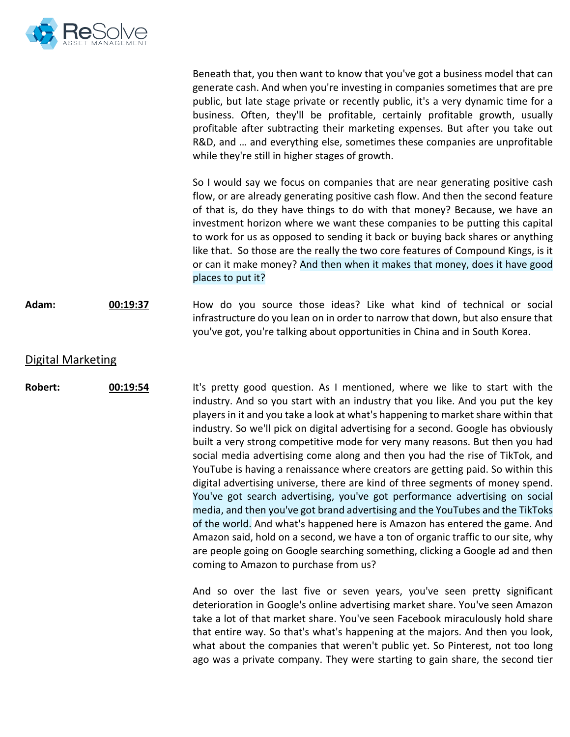

|                          |          | Beneath that, you then want to know that you've got a business model that can<br>generate cash. And when you're investing in companies sometimes that are pre<br>public, but late stage private or recently public, it's a very dynamic time for a<br>business. Often, they'll be profitable, certainly profitable growth, usually<br>profitable after subtracting their marketing expenses. But after you take out<br>R&D, and  and everything else, sometimes these companies are unprofitable<br>while they're still in higher stages of growth.                                                                                                                                                                                                                                                                                                                                                                                                                                                                                                                                                                                     |
|--------------------------|----------|-----------------------------------------------------------------------------------------------------------------------------------------------------------------------------------------------------------------------------------------------------------------------------------------------------------------------------------------------------------------------------------------------------------------------------------------------------------------------------------------------------------------------------------------------------------------------------------------------------------------------------------------------------------------------------------------------------------------------------------------------------------------------------------------------------------------------------------------------------------------------------------------------------------------------------------------------------------------------------------------------------------------------------------------------------------------------------------------------------------------------------------------|
|                          |          | So I would say we focus on companies that are near generating positive cash<br>flow, or are already generating positive cash flow. And then the second feature<br>of that is, do they have things to do with that money? Because, we have an<br>investment horizon where we want these companies to be putting this capital<br>to work for us as opposed to sending it back or buying back shares or anything<br>like that. So those are the really the two core features of Compound Kings, is it<br>or can it make money? And then when it makes that money, does it have good<br>places to put it?                                                                                                                                                                                                                                                                                                                                                                                                                                                                                                                                   |
| Adam:                    | 00:19:37 | How do you source those ideas? Like what kind of technical or social<br>infrastructure do you lean on in order to narrow that down, but also ensure that<br>you've got, you're talking about opportunities in China and in South Korea.                                                                                                                                                                                                                                                                                                                                                                                                                                                                                                                                                                                                                                                                                                                                                                                                                                                                                                 |
| <b>Digital Marketing</b> |          |                                                                                                                                                                                                                                                                                                                                                                                                                                                                                                                                                                                                                                                                                                                                                                                                                                                                                                                                                                                                                                                                                                                                         |
| <b>Robert:</b>           | 00:19:54 | It's pretty good question. As I mentioned, where we like to start with the<br>industry. And so you start with an industry that you like. And you put the key<br>players in it and you take a look at what's happening to market share within that<br>industry. So we'll pick on digital advertising for a second. Google has obviously<br>built a very strong competitive mode for very many reasons. But then you had<br>social media advertising come along and then you had the rise of TikTok, and<br>YouTube is having a renaissance where creators are getting paid. So within this<br>digital advertising universe, there are kind of three segments of money spend.<br>You've got search advertising, you've got performance advertising on social<br>media, and then you've got brand advertising and the YouTubes and the TikToks<br>of the world. And what's happened here is Amazon has entered the game. And<br>Amazon said, hold on a second, we have a ton of organic traffic to our site, why<br>are people going on Google searching something, clicking a Google ad and then<br>coming to Amazon to purchase from us? |
|                          |          | And so over the last five or seven years, you've seen pretty significant<br>deterioration in Google's online advertising market share. You've seen Amazon<br>take a lot of that market share. You've seen Facebook miraculously hold share<br>that entire way. So that's what's happening at the majors. And then you look,<br>what about the companies that weren't public yet. So Pinterest, not too long<br>ago was a private company. They were starting to gain share, the second tier                                                                                                                                                                                                                                                                                                                                                                                                                                                                                                                                                                                                                                             |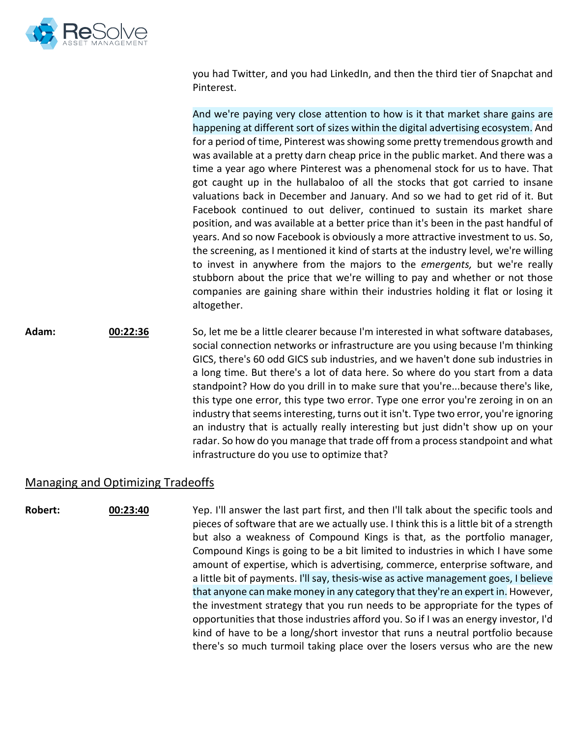

you had Twitter, and you had LinkedIn, and then the third tier of Snapchat and Pinterest.

And we're paying very close attention to how is it that market share gains are happening at different sort of sizes within the digital advertising ecosystem. And for a period of time, Pinterest was showing some pretty tremendous growth and was available at a pretty darn cheap price in the public market. And there was a time a year ago where Pinterest was a phenomenal stock for us to have. That got caught up in the hullabaloo of all the stocks that got carried to insane valuations back in December and January. And so we had to get rid of it. But Facebook continued to out deliver, continued to sustain its market share position, and was available at a better price than it's been in the past handful of years. And so now Facebook is obviously a more attractive investment to us. So, the screening, as I mentioned it kind of starts at the industry level, we're willing to invest in anywhere from the majors to the *emergents,* but we're really stubborn about the price that we're willing to pay and whether or not those companies are gaining share within their industries holding it flat or losing it altogether.

Adam: **00:22:36** So, let me be a little clearer because I'm interested in what software databases, social connection networks or infrastructure are you using because I'm thinking GICS, there's 60 odd GICS sub industries, and we haven't done sub industries in a long time. But there's a lot of data here. So where do you start from a data standpoint? How do you drill in to make sure that you're...because there's like, this type one error, this type two error. Type one error you're zeroing in on an industry that seems interesting, turns out it isn't. Type two error, you're ignoring an industry that is actually really interesting but just didn't show up on your radar. So how do you manage that trade off from a process standpoint and what infrastructure do you use to optimize that?

## Managing and Optimizing Tradeoffs

**Robert: 00:23:40** Yep. I'll answer the last part first, and then I'll talk about the specific tools and pieces of software that are we actually use. I think this is a little bit of a strength but also a weakness of Compound Kings is that, as the portfolio manager, Compound Kings is going to be a bit limited to industries in which I have some amount of expertise, which is advertising, commerce, enterprise software, and a little bit of payments. I'll say, thesis-wise as active management goes, I believe that anyone can make money in any category that they're an expert in. However, the investment strategy that you run needs to be appropriate for the types of opportunities that those industries afford you. So if I was an energy investor, I'd kind of have to be a long/short investor that runs a neutral portfolio because there's so much turmoil taking place over the losers versus who are the new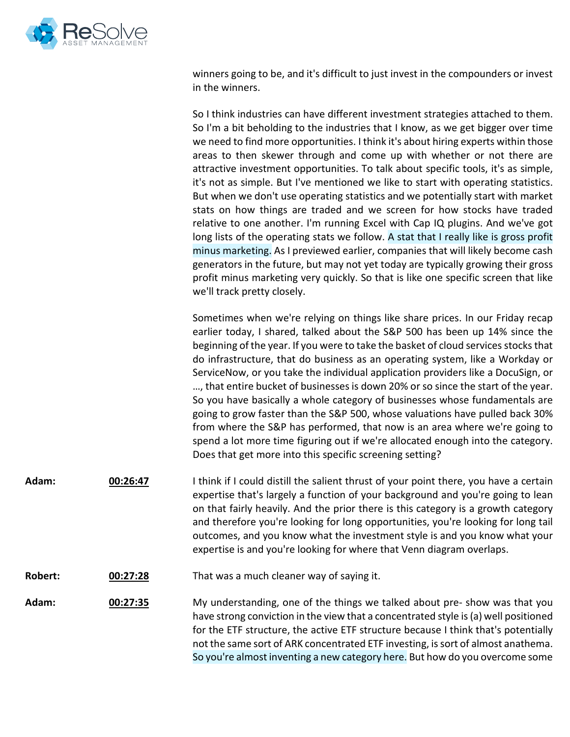

winners going to be, and it's difficult to just invest in the compounders or invest in the winners.

So I think industries can have different investment strategies attached to them. So I'm a bit beholding to the industries that I know, as we get bigger over time we need to find more opportunities. I think it's about hiring experts within those areas to then skewer through and come up with whether or not there are attractive investment opportunities. To talk about specific tools, it's as simple, it's not as simple. But I've mentioned we like to start with operating statistics. But when we don't use operating statistics and we potentially start with market stats on how things are traded and we screen for how stocks have traded relative to one another. I'm running Excel with Cap IQ plugins. And we've got long lists of the operating stats we follow. A stat that I really like is gross profit minus marketing. As I previewed earlier, companies that will likely become cash generators in the future, but may not yet today are typically growing their gross profit minus marketing very quickly. So that is like one specific screen that like we'll track pretty closely.

Sometimes when we're relying on things like share prices. In our Friday recap earlier today, I shared, talked about the S&P 500 has been up 14% since the beginning of the year. If you were to take the basket of cloud services stocks that do infrastructure, that do business as an operating system, like a Workday or ServiceNow, or you take the individual application providers like a DocuSign, or …, that entire bucket of businesses is down 20% or so since the start of the year. So you have basically a whole category of businesses whose fundamentals are going to grow faster than the S&P 500, whose valuations have pulled back 30% from where the S&P has performed, that now is an area where we're going to spend a lot more time figuring out if we're allocated enough into the category. Does that get more into this specific screening setting?

- **Adam: 00:26:47** I think if I could distill the salient thrust of your point there, you have a certain expertise that's largely a function of your background and you're going to lean on that fairly heavily. And the prior there is this category is a growth category and therefore you're looking for long opportunities, you're looking for long tail outcomes, and you know what the investment style is and you know what your expertise is and you're looking for where that Venn diagram overlaps.
- **Robert: 00:27:28** That was a much cleaner way of saying it.

**Adam: 00:27:35** My understanding, one of the things we talked about pre- show was that you have strong conviction in the view that a concentrated style is (a) well positioned for the ETF structure, the active ETF structure because I think that's potentially not the same sort of ARK concentrated ETF investing, is sort of almost anathema. So you're almost inventing a new category here. But how do you overcome some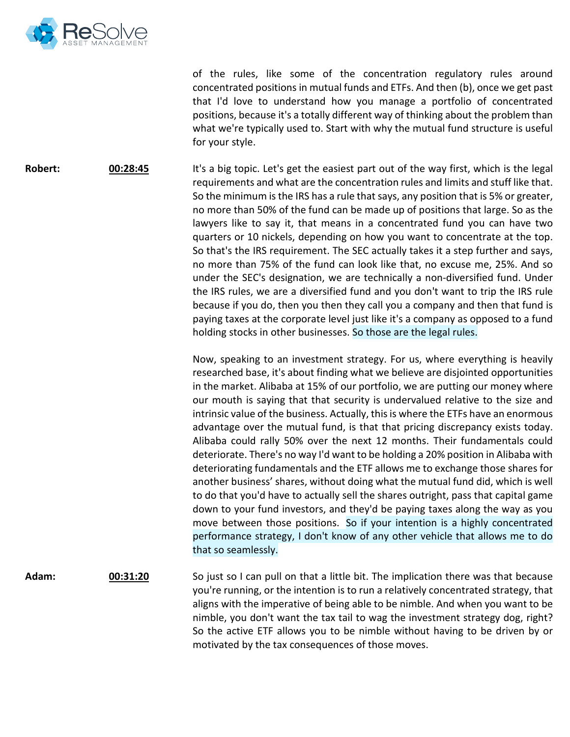

of the rules, like some of the concentration regulatory rules around concentrated positions in mutual funds and ETFs. And then (b), once we get past that I'd love to understand how you manage a portfolio of concentrated positions, because it's a totally different way of thinking about the problem than what we're typically used to. Start with why the mutual fund structure is useful for your style.

**Robert: 00:28:45** It's a big topic. Let's get the easiest part out of the way first, which is the legal requirements and what are the concentration rules and limits and stuff like that. So the minimum is the IRS has a rule that says, any position that is 5% or greater, no more than 50% of the fund can be made up of positions that large. So as the lawyers like to say it, that means in a concentrated fund you can have two quarters or 10 nickels, depending on how you want to concentrate at the top. So that's the IRS requirement. The SEC actually takes it a step further and says, no more than 75% of the fund can look like that, no excuse me, 25%. And so under the SEC's designation, we are technically a non-diversified fund. Under the IRS rules, we are a diversified fund and you don't want to trip the IRS rule because if you do, then you then they call you a company and then that fund is paying taxes at the corporate level just like it's a company as opposed to a fund holding stocks in other businesses. So those are the legal rules.

> Now, speaking to an investment strategy. For us, where everything is heavily researched base, it's about finding what we believe are disjointed opportunities in the market. Alibaba at 15% of our portfolio, we are putting our money where our mouth is saying that that security is undervalued relative to the size and intrinsic value of the business. Actually, this is where the ETFs have an enormous advantage over the mutual fund, is that that pricing discrepancy exists today. Alibaba could rally 50% over the next 12 months. Their fundamentals could deteriorate. There's no way I'd want to be holding a 20% position in Alibaba with deteriorating fundamentals and the ETF allows me to exchange those shares for another business' shares, without doing what the mutual fund did, which is well to do that you'd have to actually sell the shares outright, pass that capital game down to your fund investors, and they'd be paying taxes along the way as you move between those positions. So if your intention is a highly concentrated performance strategy, I don't know of any other vehicle that allows me to do that so seamlessly.

**Adam: 00:31:20** So just so I can pull on that a little bit. The implication there was that because you're running, or the intention is to run a relatively concentrated strategy, that aligns with the imperative of being able to be nimble. And when you want to be nimble, you don't want the tax tail to wag the investment strategy dog, right? So the active ETF allows you to be nimble without having to be driven by or motivated by the tax consequences of those moves.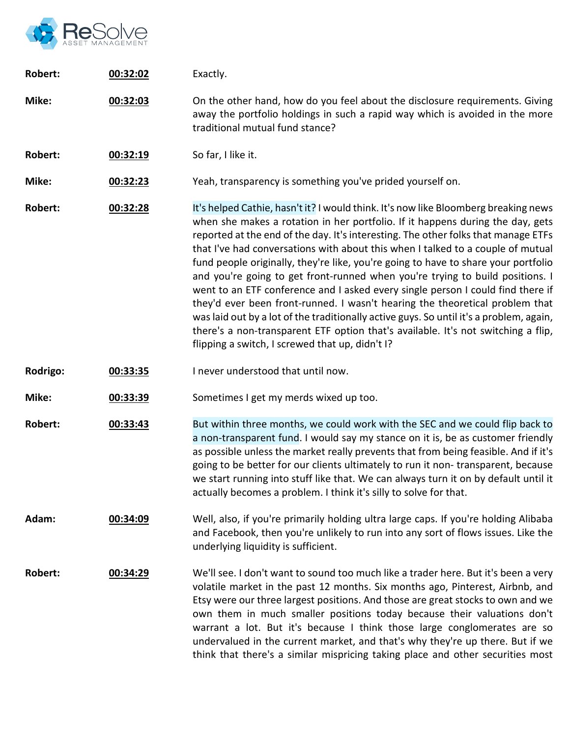

| <b>Robert:</b> | 00:32:02 | Exactly.                                                                                                                                                                                                                                                                                                                                                                                                                                                                                                                                                                                                                                                                                                                                                                                                                                                                                                                    |
|----------------|----------|-----------------------------------------------------------------------------------------------------------------------------------------------------------------------------------------------------------------------------------------------------------------------------------------------------------------------------------------------------------------------------------------------------------------------------------------------------------------------------------------------------------------------------------------------------------------------------------------------------------------------------------------------------------------------------------------------------------------------------------------------------------------------------------------------------------------------------------------------------------------------------------------------------------------------------|
| Mike:          | 00:32:03 | On the other hand, how do you feel about the disclosure requirements. Giving<br>away the portfolio holdings in such a rapid way which is avoided in the more<br>traditional mutual fund stance?                                                                                                                                                                                                                                                                                                                                                                                                                                                                                                                                                                                                                                                                                                                             |
| <b>Robert:</b> | 00:32:19 | So far, I like it.                                                                                                                                                                                                                                                                                                                                                                                                                                                                                                                                                                                                                                                                                                                                                                                                                                                                                                          |
| Mike:          | 00:32:23 | Yeah, transparency is something you've prided yourself on.                                                                                                                                                                                                                                                                                                                                                                                                                                                                                                                                                                                                                                                                                                                                                                                                                                                                  |
| Robert:        | 00:32:28 | It's helped Cathie, hasn't it? I would think. It's now like Bloomberg breaking news<br>when she makes a rotation in her portfolio. If it happens during the day, gets<br>reported at the end of the day. It's interesting. The other folks that manage ETFs<br>that I've had conversations with about this when I talked to a couple of mutual<br>fund people originally, they're like, you're going to have to share your portfolio<br>and you're going to get front-runned when you're trying to build positions. I<br>went to an ETF conference and I asked every single person I could find there if<br>they'd ever been front-runned. I wasn't hearing the theoretical problem that<br>was laid out by a lot of the traditionally active guys. So until it's a problem, again,<br>there's a non-transparent ETF option that's available. It's not switching a flip,<br>flipping a switch, I screwed that up, didn't I? |
| Rodrigo:       | 00:33:35 | I never understood that until now.                                                                                                                                                                                                                                                                                                                                                                                                                                                                                                                                                                                                                                                                                                                                                                                                                                                                                          |
| Mike:          | 00:33:39 | Sometimes I get my merds wixed up too.                                                                                                                                                                                                                                                                                                                                                                                                                                                                                                                                                                                                                                                                                                                                                                                                                                                                                      |
| <b>Robert:</b> | 00:33:43 | But within three months, we could work with the SEC and we could flip back to<br>a non-transparent fund. I would say my stance on it is, be as customer friendly<br>as possible unless the market really prevents that from being feasible. And if it's<br>going to be better for our clients ultimately to run it non-transparent, because<br>we start running into stuff like that. We can always turn it on by default until it<br>actually becomes a problem. I think it's silly to solve for that.                                                                                                                                                                                                                                                                                                                                                                                                                     |
| Adam:          | 00:34:09 | Well, also, if you're primarily holding ultra large caps. If you're holding Alibaba<br>and Facebook, then you're unlikely to run into any sort of flows issues. Like the<br>underlying liquidity is sufficient.                                                                                                                                                                                                                                                                                                                                                                                                                                                                                                                                                                                                                                                                                                             |
| <b>Robert:</b> | 00:34:29 | We'll see. I don't want to sound too much like a trader here. But it's been a very<br>volatile market in the past 12 months. Six months ago, Pinterest, Airbnb, and<br>Etsy were our three largest positions. And those are great stocks to own and we<br>own them in much smaller positions today because their valuations don't<br>warrant a lot. But it's because I think those large conglomerates are so<br>undervalued in the current market, and that's why they're up there. But if we<br>think that there's a similar mispricing taking place and other securities most                                                                                                                                                                                                                                                                                                                                            |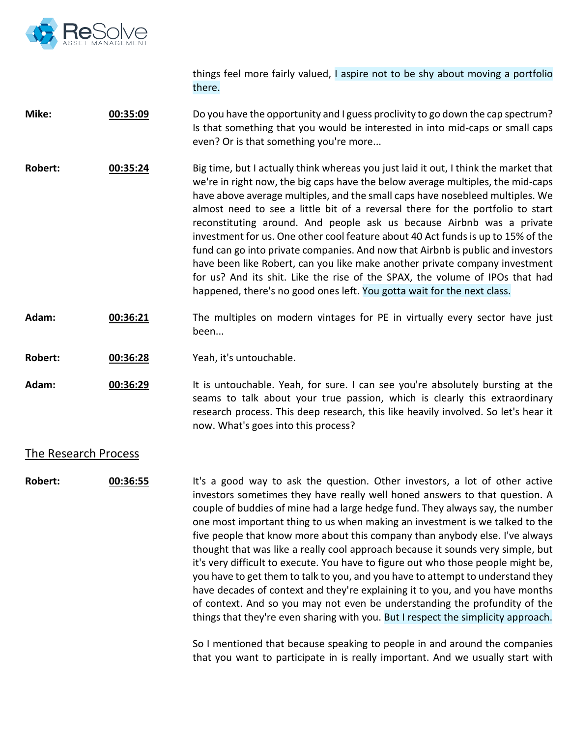

things feel more fairly valued, I aspire not to be shy about moving a portfolio there.

**Mike: 00:35:09** Do you have the opportunity and I guess proclivity to go down the cap spectrum? Is that something that you would be interested in into mid-caps or small caps even? Or is that something you're more...

**Robert: 00:35:24** Big time, but I actually think whereas you just laid it out, I think the market that we're in right now, the big caps have the below average multiples, the mid-caps have above average multiples, and the small caps have nosebleed multiples. We almost need to see a little bit of a reversal there for the portfolio to start reconstituting around. And people ask us because Airbnb was a private investment for us. One other cool feature about 40 Act funds is up to 15% of the fund can go into private companies. And now that Airbnb is public and investors have been like Robert, can you like make another private company investment for us? And its shit. Like the rise of the SPAX, the volume of IPOs that had happened, there's no good ones left. You gotta wait for the next class.

- **Adam: 00:36:21** The multiples on modern vintages for PE in virtually every sector have just been...
- **Robert: 00:36:28** Yeah, it's untouchable.

**Adam: 00:36:29** It is untouchable. Yeah, for sure. I can see you're absolutely bursting at the seams to talk about your true passion, which is clearly this extraordinary research process. This deep research, this like heavily involved. So let's hear it now. What's goes into this process?

#### The Research Process

**Robert: 00:36:55** It's a good way to ask the question. Other investors, a lot of other active investors sometimes they have really well honed answers to that question. A couple of buddies of mine had a large hedge fund. They always say, the number one most important thing to us when making an investment is we talked to the five people that know more about this company than anybody else. I've always thought that was like a really cool approach because it sounds very simple, but it's very difficult to execute. You have to figure out who those people might be, you have to get them to talk to you, and you have to attempt to understand they have decades of context and they're explaining it to you, and you have months of context. And so you may not even be understanding the profundity of the things that they're even sharing with you. But I respect the simplicity approach.

> So I mentioned that because speaking to people in and around the companies that you want to participate in is really important. And we usually start with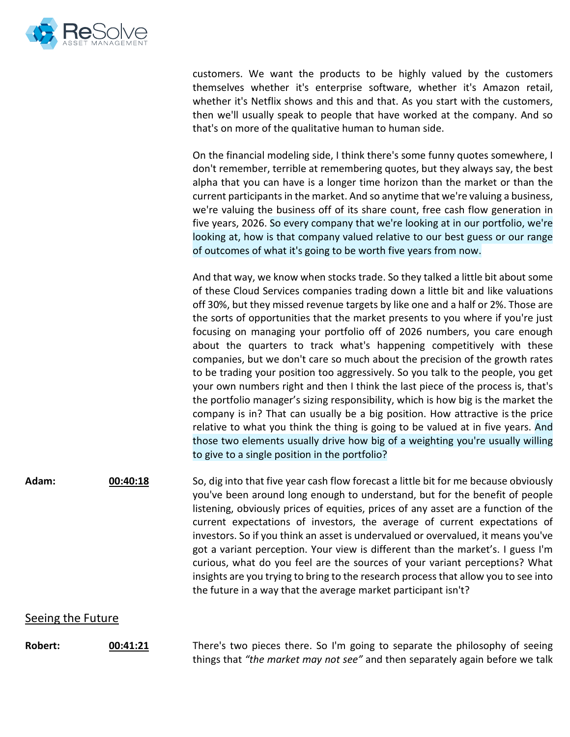

customers. We want the products to be highly valued by the customers themselves whether it's enterprise software, whether it's Amazon retail, whether it's Netflix shows and this and that. As you start with the customers, then we'll usually speak to people that have worked at the company. And so that's on more of the qualitative human to human side.

On the financial modeling side, I think there's some funny quotes somewhere, I don't remember, terrible at remembering quotes, but they always say, the best alpha that you can have is a longer time horizon than the market or than the current participants in the market. And so anytime that we're valuing a business, we're valuing the business off of its share count, free cash flow generation in five years, 2026. So every company that we're looking at in our portfolio, we're looking at, how is that company valued relative to our best guess or our range of outcomes of what it's going to be worth five years from now.

And that way, we know when stocks trade. So they talked a little bit about some of these Cloud Services companies trading down a little bit and like valuations off 30%, but they missed revenue targets by like one and a half or 2%. Those are the sorts of opportunities that the market presents to you where if you're just focusing on managing your portfolio off of 2026 numbers, you care enough about the quarters to track what's happening competitively with these companies, but we don't care so much about the precision of the growth rates to be trading your position too aggressively. So you talk to the people, you get your own numbers right and then I think the last piece of the process is, that's the portfolio manager's sizing responsibility, which is how big is the market the company is in? That can usually be a big position. How attractive is the price relative to what you think the thing is going to be valued at in five years. And those two elements usually drive how big of a weighting you're usually willing to give to a single position in the portfolio?

**Adam: 00:40:18** So, dig into that five year cash flow forecast a little bit for me because obviously you've been around long enough to understand, but for the benefit of people listening, obviously prices of equities, prices of any asset are a function of the current expectations of investors, the average of current expectations of investors. So if you think an asset is undervalued or overvalued, it means you've got a variant perception. Your view is different than the market's. I guess I'm curious, what do you feel are the sources of your variant perceptions? What insights are you trying to bring to the research process that allow you to see into the future in a way that the average market participant isn't?

#### Seeing the Future

**Robert: 00:41:21** There's two pieces there. So I'm going to separate the philosophy of seeing things that *"the market may not see"* and then separately again before we talk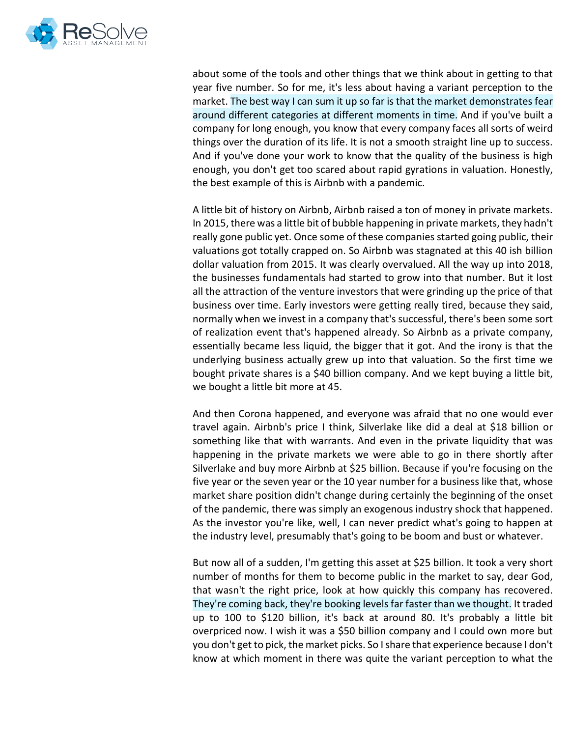

about some of the tools and other things that we think about in getting to that year five number. So for me, it's less about having a variant perception to the market. The best way I can sum it up so far is that the market demonstrates fear around different categories at different moments in time. And if you've built a company for long enough, you know that every company faces all sorts of weird things over the duration of its life. It is not a smooth straight line up to success. And if you've done your work to know that the quality of the business is high enough, you don't get too scared about rapid gyrations in valuation. Honestly, the best example of this is Airbnb with a pandemic.

A little bit of history on Airbnb, Airbnb raised a ton of money in private markets. In 2015, there was a little bit of bubble happening in private markets, they hadn't really gone public yet. Once some of these companies started going public, their valuations got totally crapped on. So Airbnb was stagnated at this 40 ish billion dollar valuation from 2015. It was clearly overvalued. All the way up into 2018, the businesses fundamentals had started to grow into that number. But it lost all the attraction of the venture investors that were grinding up the price of that business over time. Early investors were getting really tired, because they said, normally when we invest in a company that's successful, there's been some sort of realization event that's happened already. So Airbnb as a private company, essentially became less liquid, the bigger that it got. And the irony is that the underlying business actually grew up into that valuation. So the first time we bought private shares is a \$40 billion company. And we kept buying a little bit, we bought a little bit more at 45.

And then Corona happened, and everyone was afraid that no one would ever travel again. Airbnb's price I think, Silverlake like did a deal at \$18 billion or something like that with warrants. And even in the private liquidity that was happening in the private markets we were able to go in there shortly after Silverlake and buy more Airbnb at \$25 billion. Because if you're focusing on the five year or the seven year or the 10 year number for a business like that, whose market share position didn't change during certainly the beginning of the onset of the pandemic, there was simply an exogenous industry shock that happened. As the investor you're like, well, I can never predict what's going to happen at the industry level, presumably that's going to be boom and bust or whatever.

But now all of a sudden, I'm getting this asset at \$25 billion. It took a very short number of months for them to become public in the market to say, dear God, that wasn't the right price, look at how quickly this company has recovered. They're coming back, they're booking levels far faster than we thought. It traded up to 100 to \$120 billion, it's back at around 80. It's probably a little bit overpriced now. I wish it was a \$50 billion company and I could own more but you don't get to pick, the market picks. So I share that experience because I don't know at which moment in there was quite the variant perception to what the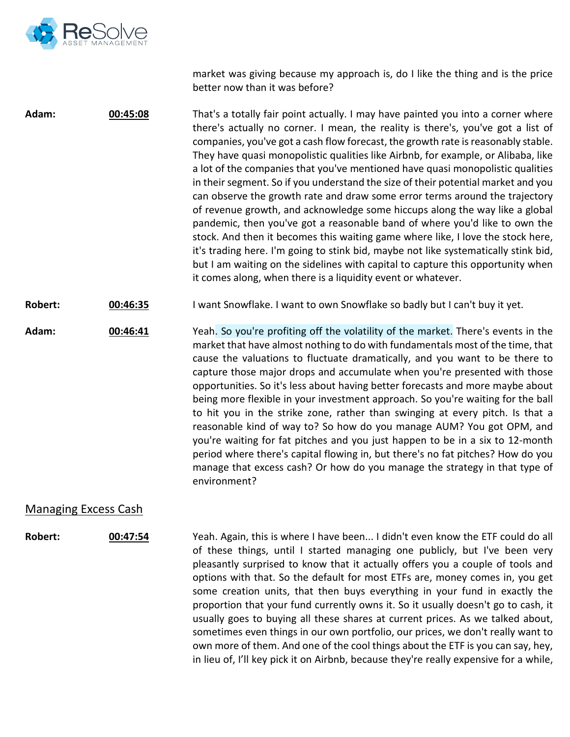

market was giving because my approach is, do I like the thing and is the price better now than it was before?

**Adam: 00:45:08** That's a totally fair point actually. I may have painted you into a corner where there's actually no corner. I mean, the reality is there's, you've got a list of companies, you've got a cash flow forecast, the growth rate is reasonably stable. They have quasi monopolistic qualities like Airbnb, for example, or Alibaba, like a lot of the companies that you've mentioned have quasi monopolistic qualities in their segment. So if you understand the size of their potential market and you can observe the growth rate and draw some error terms around the trajectory of revenue growth, and acknowledge some hiccups along the way like a global pandemic, then you've got a reasonable band of where you'd like to own the stock. And then it becomes this waiting game where like, I love the stock here, it's trading here. I'm going to stink bid, maybe not like systematically stink bid, but I am waiting on the sidelines with capital to capture this opportunity when it comes along, when there is a liquidity event or whatever.

**Robert: 00:46:35** I want Snowflake. I want to own Snowflake so badly but I can't buy it yet.

**Adam: 00:46:41** Yeah. So you're profiting off the volatility of the market. There's events in the market that have almost nothing to do with fundamentals most of the time, that cause the valuations to fluctuate dramatically, and you want to be there to capture those major drops and accumulate when you're presented with those opportunities. So it's less about having better forecasts and more maybe about being more flexible in your investment approach. So you're waiting for the ball to hit you in the strike zone, rather than swinging at every pitch. Is that a reasonable kind of way to? So how do you manage AUM? You got OPM, and you're waiting for fat pitches and you just happen to be in a six to 12-month period where there's capital flowing in, but there's no fat pitches? How do you manage that excess cash? Or how do you manage the strategy in that type of environment?

## Managing Excess Cash

**Robert: 00:47:54** Yeah. Again, this is where I have been... I didn't even know the ETF could do all of these things, until I started managing one publicly, but I've been very pleasantly surprised to know that it actually offers you a couple of tools and options with that. So the default for most ETFs are, money comes in, you get some creation units, that then buys everything in your fund in exactly the proportion that your fund currently owns it. So it usually doesn't go to cash, it usually goes to buying all these shares at current prices. As we talked about, sometimes even things in our own portfolio, our prices, we don't really want to own more of them. And one of the cool things about the ETF is you can say, hey, in lieu of, I'll key pick it on Airbnb, because they're really expensive for a while,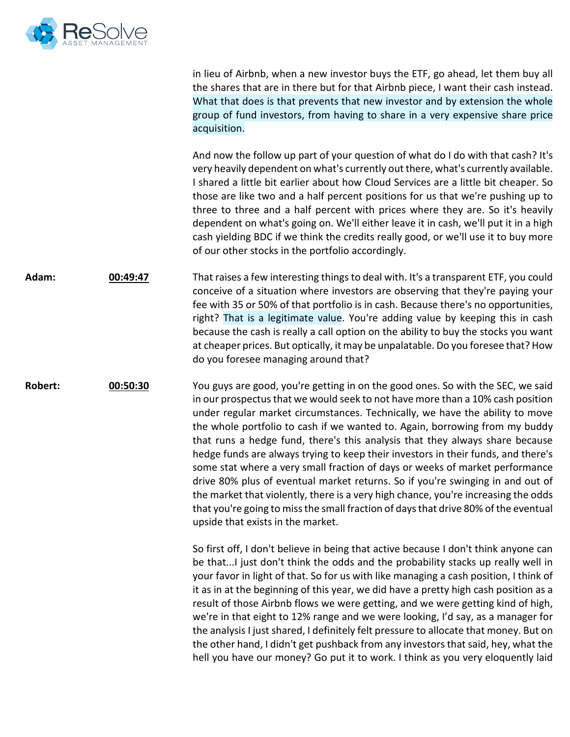

in lieu of Airbnb, when a new investor buys the ETF, go ahead, let them buy all the shares that are in there but for that Airbnb piece, I want their cash instead. What that does is that prevents that new investor and by extension the whole group of fund investors, from having to share in a very expensive share price acquisition. And now the follow up part of your question of what do I do with that cash? It's very heavily dependent on what's currently out there, what's currently available. I shared a little bit earlier about how Cloud Services are a little bit cheaper. So those are like two and a half percent positions for us that we're pushing up to three to three and a half percent with prices where they are. So it's heavily dependent on what's going on. We'll either leave it in cash, we'll put it in a high cash yielding BDC if we think the credits really good, or we'll use it to buy more of our other stocks in the portfolio accordingly. **Adam: 00:49:47** That raises a few interesting things to deal with. It's a transparent ETF, you could conceive of a situation where investors are observing that they're paying your fee with 35 or 50% of that portfolio is in cash. Because there's no opportunities, right? That is a legitimate value. You're adding value by keeping this in cash because the cash is really a call option on the ability to buy the stocks you want at cheaper prices. But optically, it may be unpalatable. Do you foresee that? How do you foresee managing around that? **Robert: 00:50:30** You guys are good, you're getting in on the good ones. So with the SEC, we said in our prospectus that we would seek to not have more than a 10% cash position under regular market circumstances. Technically, we have the ability to move the whole portfolio to cash if we wanted to. Again, borrowing from my buddy that runs a hedge fund, there's this analysis that they always share because hedge funds are always trying to keep their investors in their funds, and there's some stat where a very small fraction of days or weeks of market performance drive 80% plus of eventual market returns. So if you're swinging in and out of the market that violently, there is a very high chance, you're increasing the odds that you're going to miss the small fraction of days that drive 80% of the eventual upside that exists in the market. So first off, I don't believe in being that active because I don't think anyone can be that...I just don't think the odds and the probability stacks up really well in your favor in light of that. So for us with like managing a cash position, I think of it as in at the beginning of this year, we did have a pretty high cash position as a result of those Airbnb flows we were getting, and we were getting kind of high, we're in that eight to 12% range and we were looking, I'd say, as a manager for the analysis I just shared, I definitely felt pressure to allocate that money. But on the other hand, I didn't get pushback from any investors that said, hey, what the hell you have our money? Go put it to work. I think as you very eloquently laid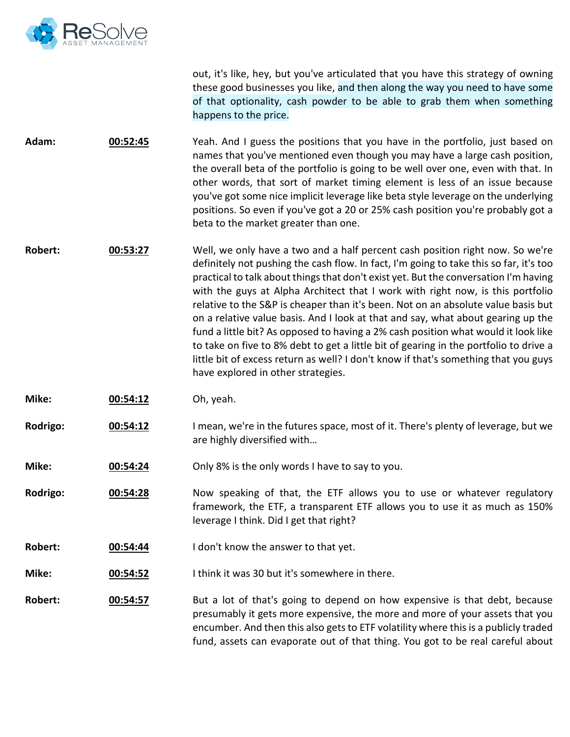

out, it's like, hey, but you've articulated that you have this strategy of owning these good businesses you like, and then along the way you need to have some of that optionality, cash powder to be able to grab them when something happens to the price.

**Adam: 00:52:45** Yeah. And I guess the positions that you have in the portfolio, just based on names that you've mentioned even though you may have a large cash position, the overall beta of the portfolio is going to be well over one, even with that. In other words, that sort of market timing element is less of an issue because you've got some nice implicit leverage like beta style leverage on the underlying positions. So even if you've got a 20 or 25% cash position you're probably got a beta to the market greater than one.

**Robert: 00:53:27** Well, we only have a two and a half percent cash position right now. So we're definitely not pushing the cash flow. In fact, I'm going to take this so far, it's too practical to talk about things that don't exist yet. But the conversation I'm having with the guys at Alpha Architect that I work with right now, is this portfolio relative to the S&P is cheaper than it's been. Not on an absolute value basis but on a relative value basis. And I look at that and say, what about gearing up the fund a little bit? As opposed to having a 2% cash position what would it look like to take on five to 8% debt to get a little bit of gearing in the portfolio to drive a little bit of excess return as well? I don't know if that's something that you guys have explored in other strategies.

- **Mike: 00:54:12** Oh, yeah.
- **Rodrigo: 00:54:12** I mean, we're in the futures space, most of it. There's plenty of leverage, but we are highly diversified with…
- **Mike: 00:54:24** Only 8% is the only words I have to say to you.
- **Rodrigo: 00:54:28** Now speaking of that, the ETF allows you to use or whatever regulatory framework, the ETF, a transparent ETF allows you to use it as much as 150% leverage I think. Did I get that right?
- **Robert: 00:54:44** I don't know the answer to that yet.
- **Mike: 00:54:52** I think it was 30 but it's somewhere in there.
- **Robert: 00:54:57** But a lot of that's going to depend on how expensive is that debt, because presumably it gets more expensive, the more and more of your assets that you encumber. And then this also gets to ETF volatility where this is a publicly traded fund, assets can evaporate out of that thing. You got to be real careful about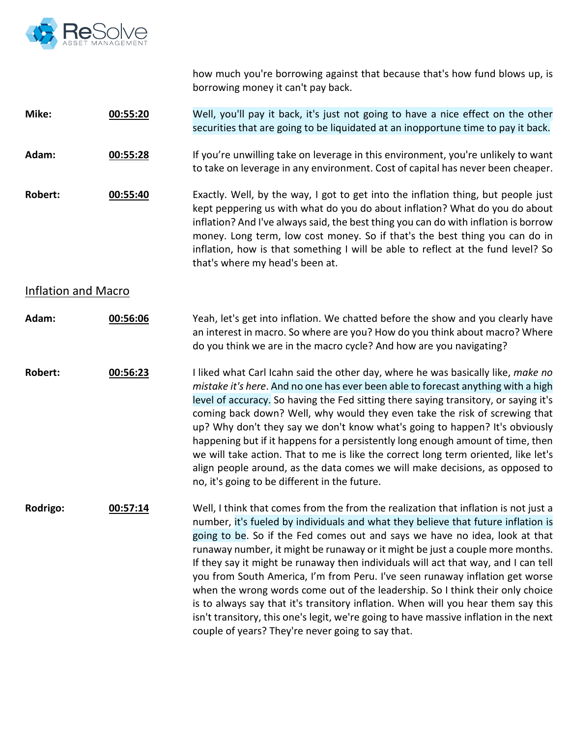

how much you're borrowing against that because that's how fund blows up, is borrowing money it can't pay back.

**Mike: 00:55:20** Well, you'll pay it back, it's just not going to have a nice effect on the other securities that are going to be liquidated at an inopportune time to pay it back.

**Adam: 00:55:28** If you're unwilling take on leverage in this environment, you're unlikely to want to take on leverage in any environment. Cost of capital has never been cheaper.

**Robert: 00:55:40** Exactly. Well, by the way, I got to get into the inflation thing, but people just kept peppering us with what do you do about inflation? What do you do about inflation? And I've always said, the best thing you can do with inflation is borrow money. Long term, low cost money. So if that's the best thing you can do in inflation, how is that something I will be able to reflect at the fund level? So that's where my head's been at.

### Inflation and Macro

**Adam: 00:56:06** Yeah, let's get into inflation. We chatted before the show and you clearly have an interest in macro. So where are you? How do you think about macro? Where do you think we are in the macro cycle? And how are you navigating?

**Robert: 00:56:23** I liked what Carl Icahn said the other day, where he was basically like, *make no mistake it's here*. And no one has ever been able to forecast anything with a high level of accuracy. So having the Fed sitting there saying transitory, or saying it's coming back down? Well, why would they even take the risk of screwing that up? Why don't they say we don't know what's going to happen? It's obviously happening but if it happens for a persistently long enough amount of time, then we will take action. That to me is like the correct long term oriented, like let's align people around, as the data comes we will make decisions, as opposed to no, it's going to be different in the future.

**Rodrigo: 00:57:14** Well, I think that comes from the from the realization that inflation is not just a number, it's fueled by individuals and what they believe that future inflation is going to be. So if the Fed comes out and says we have no idea, look at that runaway number, it might be runaway or it might be just a couple more months. If they say it might be runaway then individuals will act that way, and I can tell you from South America, I'm from Peru. I've seen runaway inflation get worse when the wrong words come out of the leadership. So I think their only choice is to always say that it's transitory inflation. When will you hear them say this isn't transitory, this one's legit, we're going to have massive inflation in the next couple of years? They're never going to say that.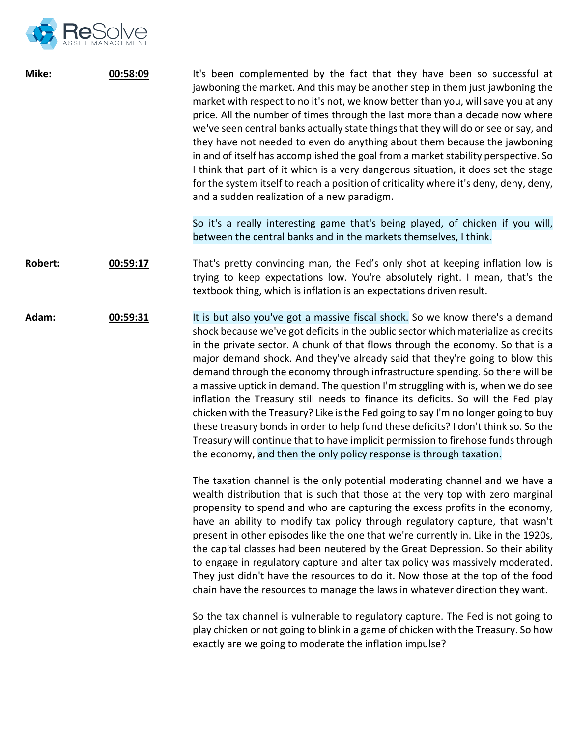

| Mike:          | 00:58:09 | It's been complemented by the fact that they have been so successful at<br>jawboning the market. And this may be another step in them just jawboning the<br>market with respect to no it's not, we know better than you, will save you at any<br>price. All the number of times through the last more than a decade now where<br>we've seen central banks actually state things that they will do or see or say, and<br>they have not needed to even do anything about them because the jawboning<br>in and of itself has accomplished the goal from a market stability perspective. So<br>I think that part of it which is a very dangerous situation, it does set the stage<br>for the system itself to reach a position of criticality where it's deny, deny, deny,<br>and a sudden realization of a new paradigm.                                                                                                                 |
|----------------|----------|---------------------------------------------------------------------------------------------------------------------------------------------------------------------------------------------------------------------------------------------------------------------------------------------------------------------------------------------------------------------------------------------------------------------------------------------------------------------------------------------------------------------------------------------------------------------------------------------------------------------------------------------------------------------------------------------------------------------------------------------------------------------------------------------------------------------------------------------------------------------------------------------------------------------------------------|
|                |          | So it's a really interesting game that's being played, of chicken if you will,<br>between the central banks and in the markets themselves, I think.                                                                                                                                                                                                                                                                                                                                                                                                                                                                                                                                                                                                                                                                                                                                                                                   |
| <b>Robert:</b> | 00:59:17 | That's pretty convincing man, the Fed's only shot at keeping inflation low is<br>trying to keep expectations low. You're absolutely right. I mean, that's the<br>textbook thing, which is inflation is an expectations driven result.                                                                                                                                                                                                                                                                                                                                                                                                                                                                                                                                                                                                                                                                                                 |
| Adam:          | 00:59:31 | It is but also you've got a massive fiscal shock. So we know there's a demand<br>shock because we've got deficits in the public sector which materialize as credits<br>in the private sector. A chunk of that flows through the economy. So that is a<br>major demand shock. And they've already said that they're going to blow this<br>demand through the economy through infrastructure spending. So there will be<br>a massive uptick in demand. The question I'm struggling with is, when we do see<br>inflation the Treasury still needs to finance its deficits. So will the Fed play<br>chicken with the Treasury? Like is the Fed going to say I'm no longer going to buy<br>these treasury bonds in order to help fund these deficits? I don't think so. So the<br>Treasury will continue that to have implicit permission to firehose funds through<br>the economy, and then the only policy response is through taxation. |
|                |          | The taxation channel is the only potential moderating channel and we have a<br>wealth distribution that is such that those at the very top with zero marginal<br>propensity to spend and who are capturing the excess profits in the economy,<br>have an ability to modify tax policy through regulatory capture, that wasn't<br>present in other episodes like the one that we're currently in. Like in the 1920s,<br>the capital classes had been neutered by the Great Depression. So their ability<br>to engage in regulatory capture and alter tax policy was massively moderated.<br>They just didn't have the resources to do it. Now those at the top of the food<br>chain have the resources to manage the laws in whatever direction they want.                                                                                                                                                                             |
|                |          | So the tax channel is vulnerable to regulatory capture. The Fed is not going to<br>play chicken or not going to blink in a game of chicken with the Treasury. So how<br>exactly are we going to moderate the inflation impulse?                                                                                                                                                                                                                                                                                                                                                                                                                                                                                                                                                                                                                                                                                                       |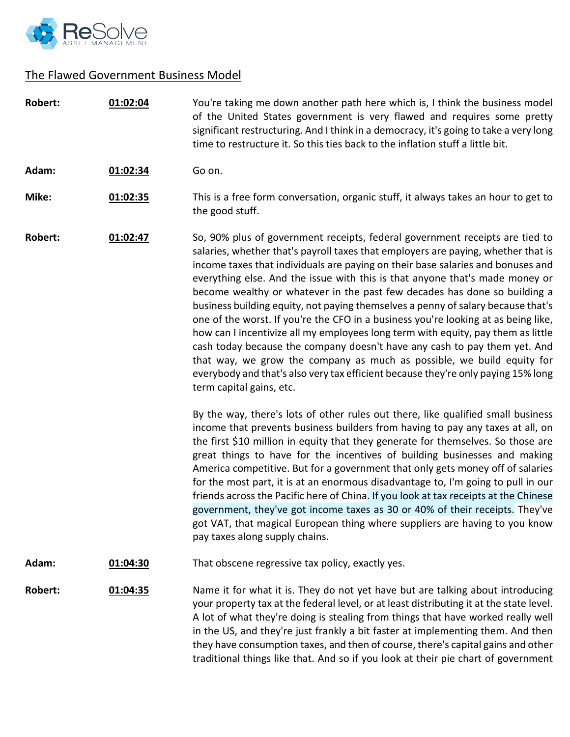

# The Flawed Government Business Model

| <b>Robert:</b> | 01:02:04 | You're taking me down another path here which is, I think the business model<br>of the United States government is very flawed and requires some pretty<br>significant restructuring. And I think in a democracy, it's going to take a very long<br>time to restructure it. So this ties back to the inflation stuff a little bit.                                                                                                                                                                                                                                                                                                                                                                                                                                                                                                                                                                                                                      |
|----------------|----------|---------------------------------------------------------------------------------------------------------------------------------------------------------------------------------------------------------------------------------------------------------------------------------------------------------------------------------------------------------------------------------------------------------------------------------------------------------------------------------------------------------------------------------------------------------------------------------------------------------------------------------------------------------------------------------------------------------------------------------------------------------------------------------------------------------------------------------------------------------------------------------------------------------------------------------------------------------|
| Adam:          | 01:02:34 | Go on.                                                                                                                                                                                                                                                                                                                                                                                                                                                                                                                                                                                                                                                                                                                                                                                                                                                                                                                                                  |
| Mike:          | 01:02:35 | This is a free form conversation, organic stuff, it always takes an hour to get to<br>the good stuff.                                                                                                                                                                                                                                                                                                                                                                                                                                                                                                                                                                                                                                                                                                                                                                                                                                                   |
| Robert:        | 01:02:47 | So, 90% plus of government receipts, federal government receipts are tied to<br>salaries, whether that's payroll taxes that employers are paying, whether that is<br>income taxes that individuals are paying on their base salaries and bonuses and<br>everything else. And the issue with this is that anyone that's made money or<br>become wealthy or whatever in the past few decades has done so building a<br>business building equity, not paying themselves a penny of salary because that's<br>one of the worst. If you're the CFO in a business you're looking at as being like,<br>how can I incentivize all my employees long term with equity, pay them as little<br>cash today because the company doesn't have any cash to pay them yet. And<br>that way, we grow the company as much as possible, we build equity for<br>everybody and that's also very tax efficient because they're only paying 15% long<br>term capital gains, etc. |
|                |          | By the way, there's lots of other rules out there, like qualified small business<br>income that prevents business builders from having to pay any taxes at all, on<br>the first \$10 million in equity that they generate for themselves. So those are<br>great things to have for the incentives of building businesses and making<br>America competitive. But for a government that only gets money off of salaries<br>for the most part, it is at an enormous disadvantage to, I'm going to pull in our<br>friends across the Pacific here of China. If you look at tax receipts at the Chinese<br>government, they've got income taxes as 30 or 40% of their receipts. They've<br>got VAT, that magical European thing where suppliers are having to you know<br>pay taxes along supply chains.                                                                                                                                                     |
| Adam:          | 01:04:30 | That obscene regressive tax policy, exactly yes.                                                                                                                                                                                                                                                                                                                                                                                                                                                                                                                                                                                                                                                                                                                                                                                                                                                                                                        |
| <b>Robert:</b> | 01:04:35 | Name it for what it is. They do not yet have but are talking about introducing<br>your property tax at the federal level, or at least distributing it at the state level.<br>A lot of what they're doing is stealing from things that have worked really well<br>in the US, and they're just frankly a bit faster at implementing them. And then<br>they have consumption taxes, and then of course, there's capital gains and other<br>traditional things like that. And so if you look at their pie chart of government                                                                                                                                                                                                                                                                                                                                                                                                                               |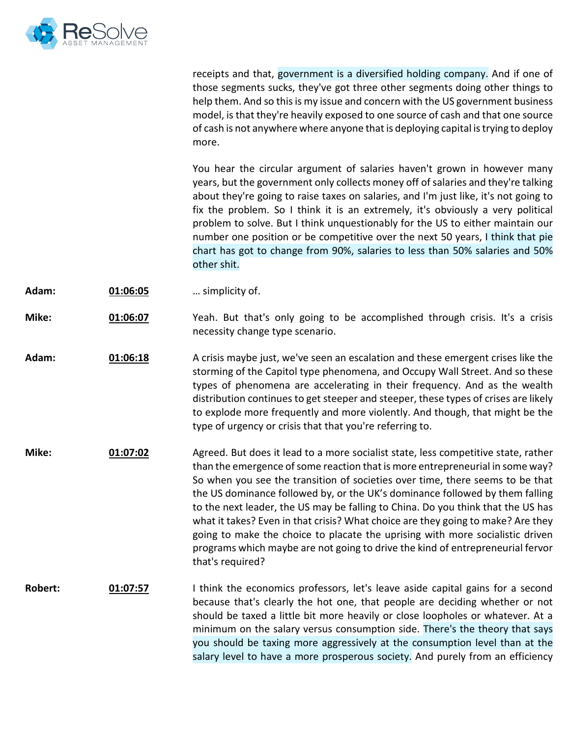

receipts and that, government is a diversified holding company. And if one of those segments sucks, they've got three other segments doing other things to help them. And so this is my issue and concern with the US government business model, is that they're heavily exposed to one source of cash and that one source of cash is not anywhere where anyone that is deploying capital is trying to deploy more.

You hear the circular argument of salaries haven't grown in however many years, but the government only collects money off of salaries and they're talking about they're going to raise taxes on salaries, and I'm just like, it's not going to fix the problem. So I think it is an extremely, it's obviously a very political problem to solve. But I think unquestionably for the US to either maintain our number one position or be competitive over the next 50 years, I think that pie chart has got to change from 90%, salaries to less than 50% salaries and 50% other shit.

**Adam: 01:06:05** … simplicity of.

**Mike: 01:06:07** Yeah. But that's only going to be accomplished through crisis. It's a crisis necessity change type scenario.

**Adam: 01:06:18** A crisis maybe just, we've seen an escalation and these emergent crises like the storming of the Capitol type phenomena, and Occupy Wall Street. And so these types of phenomena are accelerating in their frequency. And as the wealth distribution continues to get steeper and steeper, these types of crises are likely to explode more frequently and more violently. And though, that might be the type of urgency or crisis that that you're referring to.

**Mike: 01:07:02** Agreed. But does it lead to a more socialist state, less competitive state, rather than the emergence of some reaction that is more entrepreneurial in some way? So when you see the transition of societies over time, there seems to be that the US dominance followed by, or the UK's dominance followed by them falling to the next leader, the US may be falling to China. Do you think that the US has what it takes? Even in that crisis? What choice are they going to make? Are they going to make the choice to placate the uprising with more socialistic driven programs which maybe are not going to drive the kind of entrepreneurial fervor that's required?

**Robert: 01:07:57** I think the economics professors, let's leave aside capital gains for a second because that's clearly the hot one, that people are deciding whether or not should be taxed a little bit more heavily or close loopholes or whatever. At a minimum on the salary versus consumption side. There's the theory that says you should be taxing more aggressively at the consumption level than at the salary level to have a more prosperous society. And purely from an efficiency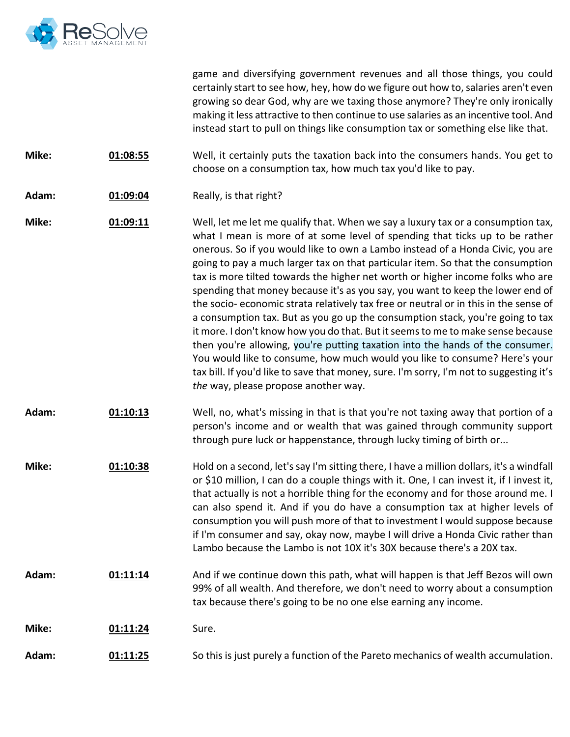

game and diversifying government revenues and all those things, you could certainly start to see how, hey, how do we figure out how to, salaries aren't even growing so dear God, why are we taxing those anymore? They're only ironically making it less attractive to then continue to use salaries as an incentive tool. And instead start to pull on things like consumption tax or something else like that.

**Mike: 01:08:55** Well, it certainly puts the taxation back into the consumers hands. You get to choose on a consumption tax, how much tax you'd like to pay.

**Adam: 01:09:04** Really, is that right?

**Mike: 01:09:11** Well, let me let me qualify that. When we say a luxury tax or a consumption tax, what I mean is more of at some level of spending that ticks up to be rather onerous. So if you would like to own a Lambo instead of a Honda Civic, you are going to pay a much larger tax on that particular item. So that the consumption tax is more tilted towards the higher net worth or higher income folks who are spending that money because it's as you say, you want to keep the lower end of the socio- economic strata relatively tax free or neutral or in this in the sense of a consumption tax. But as you go up the consumption stack, you're going to tax it more. I don't know how you do that. But it seems to me to make sense because then you're allowing, you're putting taxation into the hands of the consumer. You would like to consume, how much would you like to consume? Here's your tax bill. If you'd like to save that money, sure. I'm sorry, I'm not to suggesting it's *the* way, please propose another way.

- **Adam: 01:10:13** Well, no, what's missing in that is that you're not taxing away that portion of a person's income and or wealth that was gained through community support through pure luck or happenstance, through lucky timing of birth or...
- **Mike: 01:10:38** Hold on a second, let's say I'm sitting there, I have a million dollars, it's a windfall or \$10 million, I can do a couple things with it. One, I can invest it, if I invest it, that actually is not a horrible thing for the economy and for those around me. I can also spend it. And if you do have a consumption tax at higher levels of consumption you will push more of that to investment I would suppose because if I'm consumer and say, okay now, maybe I will drive a Honda Civic rather than Lambo because the Lambo is not 10X it's 30X because there's a 20X tax.
- **Adam: 01:11:14** And if we continue down this path, what will happen is that Jeff Bezos will own 99% of all wealth. And therefore, we don't need to worry about a consumption tax because there's going to be no one else earning any income.
- **Mike: 01:11:24** Sure.
- **Adam: 01:11:25** So this is just purely a function of the Pareto mechanics of wealth accumulation.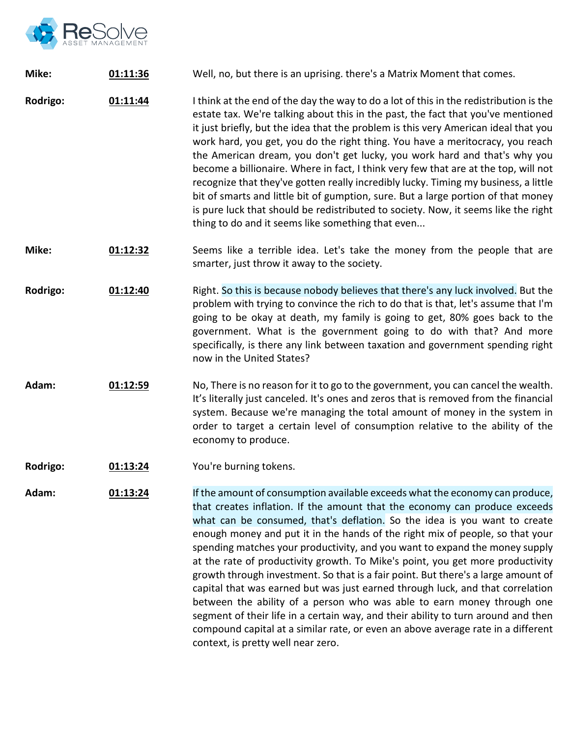

| Mike:    | 01:11:36 | Well, no, but there is an uprising. there's a Matrix Moment that comes.                                                                                                                                                                                                                                                                                                                                                                                                                                                                                                                                                                                                                                                                                                                                                                                                                                                                                   |
|----------|----------|-----------------------------------------------------------------------------------------------------------------------------------------------------------------------------------------------------------------------------------------------------------------------------------------------------------------------------------------------------------------------------------------------------------------------------------------------------------------------------------------------------------------------------------------------------------------------------------------------------------------------------------------------------------------------------------------------------------------------------------------------------------------------------------------------------------------------------------------------------------------------------------------------------------------------------------------------------------|
| Rodrigo: | 01:11:44 | I think at the end of the day the way to do a lot of this in the redistribution is the<br>estate tax. We're talking about this in the past, the fact that you've mentioned<br>it just briefly, but the idea that the problem is this very American ideal that you<br>work hard, you get, you do the right thing. You have a meritocracy, you reach<br>the American dream, you don't get lucky, you work hard and that's why you<br>become a billionaire. Where in fact, I think very few that are at the top, will not<br>recognize that they've gotten really incredibly lucky. Timing my business, a little<br>bit of smarts and little bit of gumption, sure. But a large portion of that money<br>is pure luck that should be redistributed to society. Now, it seems like the right<br>thing to do and it seems like something that even                                                                                                             |
| Mike:    | 01:12:32 | Seems like a terrible idea. Let's take the money from the people that are<br>smarter, just throw it away to the society.                                                                                                                                                                                                                                                                                                                                                                                                                                                                                                                                                                                                                                                                                                                                                                                                                                  |
| Rodrigo: | 01:12:40 | Right. So this is because nobody believes that there's any luck involved. But the<br>problem with trying to convince the rich to do that is that, let's assume that I'm<br>going to be okay at death, my family is going to get, 80% goes back to the<br>government. What is the government going to do with that? And more<br>specifically, is there any link between taxation and government spending right<br>now in the United States?                                                                                                                                                                                                                                                                                                                                                                                                                                                                                                                |
| Adam:    | 01:12:59 | No, There is no reason for it to go to the government, you can cancel the wealth.<br>It's literally just canceled. It's ones and zeros that is removed from the financial<br>system. Because we're managing the total amount of money in the system in<br>order to target a certain level of consumption relative to the ability of the<br>economy to produce.                                                                                                                                                                                                                                                                                                                                                                                                                                                                                                                                                                                            |
| Rodrigo: | 01:13:24 | You're burning tokens.                                                                                                                                                                                                                                                                                                                                                                                                                                                                                                                                                                                                                                                                                                                                                                                                                                                                                                                                    |
| Adam:    | 01:13:24 | If the amount of consumption available exceeds what the economy can produce,<br>that creates inflation. If the amount that the economy can produce exceeds<br>what can be consumed, that's deflation. So the idea is you want to create<br>enough money and put it in the hands of the right mix of people, so that your<br>spending matches your productivity, and you want to expand the money supply<br>at the rate of productivity growth. To Mike's point, you get more productivity<br>growth through investment. So that is a fair point. But there's a large amount of<br>capital that was earned but was just earned through luck, and that correlation<br>between the ability of a person who was able to earn money through one<br>segment of their life in a certain way, and their ability to turn around and then<br>compound capital at a similar rate, or even an above average rate in a different<br>context, is pretty well near zero. |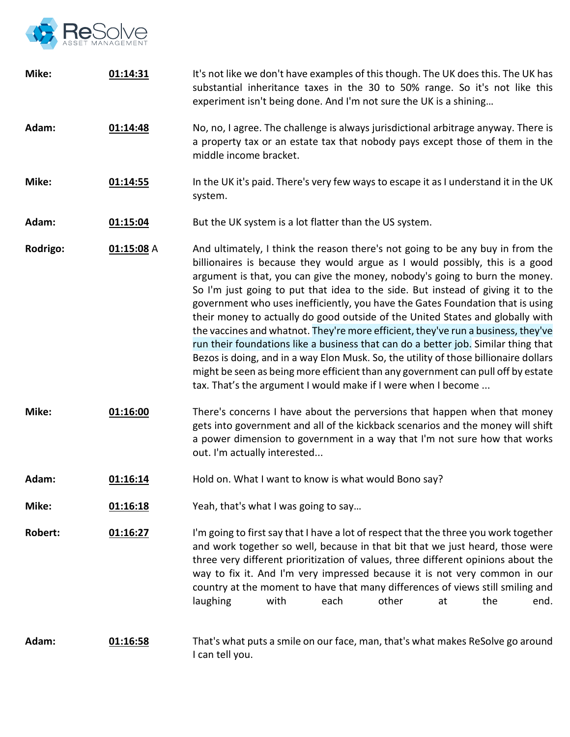

| Mike:          | 01:14:31     | It's not like we don't have examples of this though. The UK does this. The UK has<br>substantial inheritance taxes in the 30 to 50% range. So it's not like this<br>experiment isn't being done. And I'm not sure the UK is a shining                                                                                                                                                                                                                                                                                                                                                                                                                                                                                                                                                                                                                                                                                        |
|----------------|--------------|------------------------------------------------------------------------------------------------------------------------------------------------------------------------------------------------------------------------------------------------------------------------------------------------------------------------------------------------------------------------------------------------------------------------------------------------------------------------------------------------------------------------------------------------------------------------------------------------------------------------------------------------------------------------------------------------------------------------------------------------------------------------------------------------------------------------------------------------------------------------------------------------------------------------------|
| Adam:          | 01:14:48     | No, no, I agree. The challenge is always jurisdictional arbitrage anyway. There is<br>a property tax or an estate tax that nobody pays except those of them in the<br>middle income bracket.                                                                                                                                                                                                                                                                                                                                                                                                                                                                                                                                                                                                                                                                                                                                 |
| Mike:          | 01:14:55     | In the UK it's paid. There's very few ways to escape it as I understand it in the UK<br>system.                                                                                                                                                                                                                                                                                                                                                                                                                                                                                                                                                                                                                                                                                                                                                                                                                              |
| Adam:          | 01:15:04     | But the UK system is a lot flatter than the US system.                                                                                                                                                                                                                                                                                                                                                                                                                                                                                                                                                                                                                                                                                                                                                                                                                                                                       |
| Rodrigo:       | $01:15:08$ A | And ultimately, I think the reason there's not going to be any buy in from the<br>billionaires is because they would argue as I would possibly, this is a good<br>argument is that, you can give the money, nobody's going to burn the money.<br>So I'm just going to put that idea to the side. But instead of giving it to the<br>government who uses inefficiently, you have the Gates Foundation that is using<br>their money to actually do good outside of the United States and globally with<br>the vaccines and whatnot. They're more efficient, they've run a business, they've<br>run their foundations like a business that can do a better job. Similar thing that<br>Bezos is doing, and in a way Elon Musk. So, the utility of those billionaire dollars<br>might be seen as being more efficient than any government can pull off by estate<br>tax. That's the argument I would make if I were when I become |
| Mike:          | 01:16:00     | There's concerns I have about the perversions that happen when that money<br>gets into government and all of the kickback scenarios and the money will shift<br>a power dimension to government in a way that I'm not sure how that works<br>out. I'm actually interested                                                                                                                                                                                                                                                                                                                                                                                                                                                                                                                                                                                                                                                    |
| Adam:          | 01:16:14     | Hold on. What I want to know is what would Bono say?                                                                                                                                                                                                                                                                                                                                                                                                                                                                                                                                                                                                                                                                                                                                                                                                                                                                         |
| Mike:          | 01:16:18     | Yeah, that's what I was going to say                                                                                                                                                                                                                                                                                                                                                                                                                                                                                                                                                                                                                                                                                                                                                                                                                                                                                         |
| <b>Robert:</b> | 01:16:27     | I'm going to first say that I have a lot of respect that the three you work together<br>and work together so well, because in that bit that we just heard, those were<br>three very different prioritization of values, three different opinions about the<br>way to fix it. And I'm very impressed because it is not very common in our<br>country at the moment to have that many differences of views still smiling and<br>other<br>laughing<br>with<br>each<br>the<br>end.<br>at                                                                                                                                                                                                                                                                                                                                                                                                                                         |
| Adam:          | 01:16:58     | That's what puts a smile on our face, man, that's what makes ReSolve go around<br>I can tell you.                                                                                                                                                                                                                                                                                                                                                                                                                                                                                                                                                                                                                                                                                                                                                                                                                            |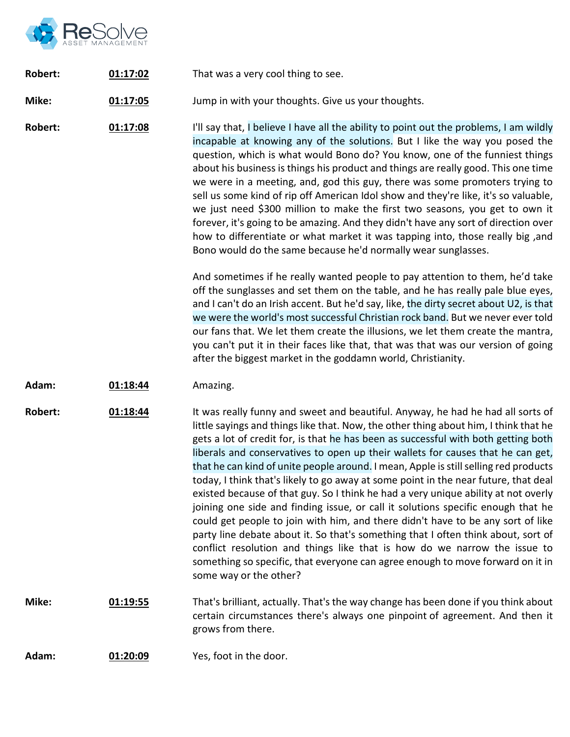

| Robert: | 01:17:02 | That was a very cool thing to see. |
|---------|----------|------------------------------------|
|---------|----------|------------------------------------|

**Mike: 01:17:05** Jump in with your thoughts. Give us your thoughts.

**Robert: 01:17:08** I'll say that, I believe I have all the ability to point out the problems, I am wildly incapable at knowing any of the solutions. But I like the way you posed the question, which is what would Bono do? You know, one of the funniest things about his business is things his product and things are really good. This one time we were in a meeting, and, god this guy, there was some promoters trying to sell us some kind of rip off American Idol show and they're like, it's so valuable, we just need \$300 million to make the first two seasons, you get to own it forever, it's going to be amazing. And they didn't have any sort of direction over how to differentiate or what market it was tapping into, those really big ,and Bono would do the same because he'd normally wear sunglasses.

> And sometimes if he really wanted people to pay attention to them, he'd take off the sunglasses and set them on the table, and he has really pale blue eyes, and I can't do an Irish accent. But he'd say, like, the dirty secret about U2, is that we were the world's most successful Christian rock band. But we never ever told our fans that. We let them create the illusions, we let them create the mantra, you can't put it in their faces like that, that was that was our version of going after the biggest market in the goddamn world, Christianity.

**Adam: 01:18:44** Amazing.

**Robert: 01:18:44** It was really funny and sweet and beautiful. Anyway, he had he had all sorts of little sayings and things like that. Now, the other thing about him, I think that he gets a lot of credit for, is that he has been as successful with both getting both liberals and conservatives to open up their wallets for causes that he can get, that he can kind of unite people around. I mean, Apple is still selling red products today, I think that's likely to go away at some point in the near future, that deal existed because of that guy. So I think he had a very unique ability at not overly joining one side and finding issue, or call it solutions specific enough that he could get people to join with him, and there didn't have to be any sort of like party line debate about it. So that's something that I often think about, sort of conflict resolution and things like that is how do we narrow the issue to something so specific, that everyone can agree enough to move forward on it in some way or the other?

- **Mike: 01:19:55** That's brilliant, actually. That's the way change has been done if you think about certain circumstances there's always one pinpoint of agreement. And then it grows from there.
- **Adam: 01:20:09** Yes, foot in the door.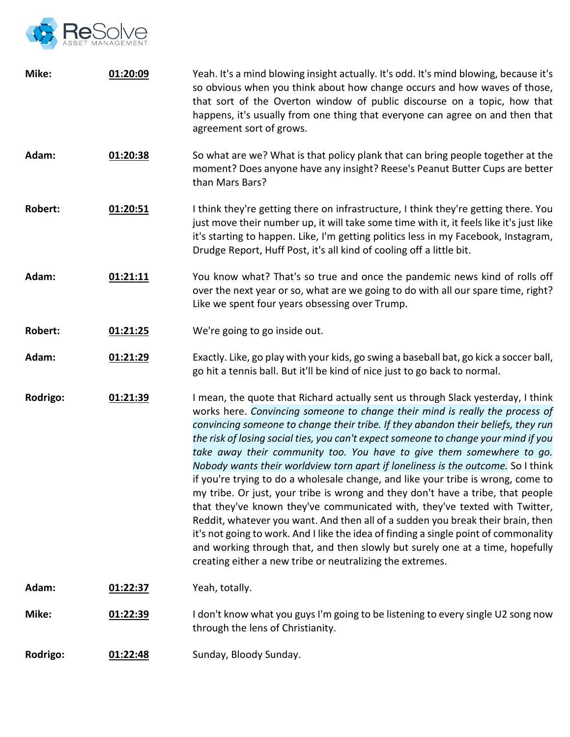

| Mike:          | 01:20:09 | Yeah. It's a mind blowing insight actually. It's odd. It's mind blowing, because it's<br>so obvious when you think about how change occurs and how waves of those,<br>that sort of the Overton window of public discourse on a topic, how that<br>happens, it's usually from one thing that everyone can agree on and then that<br>agreement sort of grows.                                                                                                                                                                                                                                                                                                                                                                                                                                                                                                                                                                                                                                                                                                                             |
|----------------|----------|-----------------------------------------------------------------------------------------------------------------------------------------------------------------------------------------------------------------------------------------------------------------------------------------------------------------------------------------------------------------------------------------------------------------------------------------------------------------------------------------------------------------------------------------------------------------------------------------------------------------------------------------------------------------------------------------------------------------------------------------------------------------------------------------------------------------------------------------------------------------------------------------------------------------------------------------------------------------------------------------------------------------------------------------------------------------------------------------|
| Adam:          | 01:20:38 | So what are we? What is that policy plank that can bring people together at the<br>moment? Does anyone have any insight? Reese's Peanut Butter Cups are better<br>than Mars Bars?                                                                                                                                                                                                                                                                                                                                                                                                                                                                                                                                                                                                                                                                                                                                                                                                                                                                                                       |
| <b>Robert:</b> | 01:20:51 | I think they're getting there on infrastructure, I think they're getting there. You<br>just move their number up, it will take some time with it, it feels like it's just like<br>it's starting to happen. Like, I'm getting politics less in my Facebook, Instagram,<br>Drudge Report, Huff Post, it's all kind of cooling off a little bit.                                                                                                                                                                                                                                                                                                                                                                                                                                                                                                                                                                                                                                                                                                                                           |
| Adam:          | 01:21:11 | You know what? That's so true and once the pandemic news kind of rolls off<br>over the next year or so, what are we going to do with all our spare time, right?<br>Like we spent four years obsessing over Trump.                                                                                                                                                                                                                                                                                                                                                                                                                                                                                                                                                                                                                                                                                                                                                                                                                                                                       |
| <b>Robert:</b> | 01:21:25 | We're going to go inside out.                                                                                                                                                                                                                                                                                                                                                                                                                                                                                                                                                                                                                                                                                                                                                                                                                                                                                                                                                                                                                                                           |
| Adam:          | 01:21:29 | Exactly. Like, go play with your kids, go swing a baseball bat, go kick a soccer ball,<br>go hit a tennis ball. But it'll be kind of nice just to go back to normal.                                                                                                                                                                                                                                                                                                                                                                                                                                                                                                                                                                                                                                                                                                                                                                                                                                                                                                                    |
| Rodrigo:       | 01:21:39 | I mean, the quote that Richard actually sent us through Slack yesterday, I think<br>works here. Convincing someone to change their mind is really the process of<br>convincing someone to change their tribe. If they abandon their beliefs, they run<br>the risk of losing social ties, you can't expect someone to change your mind if you<br>take away their community too. You have to give them somewhere to go.<br>Nobody wants their worldview torn apart if loneliness is the outcome. So I think<br>if you're trying to do a wholesale change, and like your tribe is wrong, come to<br>my tribe. Or just, your tribe is wrong and they don't have a tribe, that people<br>that they've known they've communicated with, they've texted with Twitter,<br>Reddit, whatever you want. And then all of a sudden you break their brain, then<br>it's not going to work. And I like the idea of finding a single point of commonality<br>and working through that, and then slowly but surely one at a time, hopefully<br>creating either a new tribe or neutralizing the extremes. |
| Adam:          | 01:22:37 | Yeah, totally.                                                                                                                                                                                                                                                                                                                                                                                                                                                                                                                                                                                                                                                                                                                                                                                                                                                                                                                                                                                                                                                                          |
| Mike:          | 01:22:39 | I don't know what you guys I'm going to be listening to every single U2 song now<br>through the lens of Christianity.                                                                                                                                                                                                                                                                                                                                                                                                                                                                                                                                                                                                                                                                                                                                                                                                                                                                                                                                                                   |
| Rodrigo:       | 01:22:48 | Sunday, Bloody Sunday.                                                                                                                                                                                                                                                                                                                                                                                                                                                                                                                                                                                                                                                                                                                                                                                                                                                                                                                                                                                                                                                                  |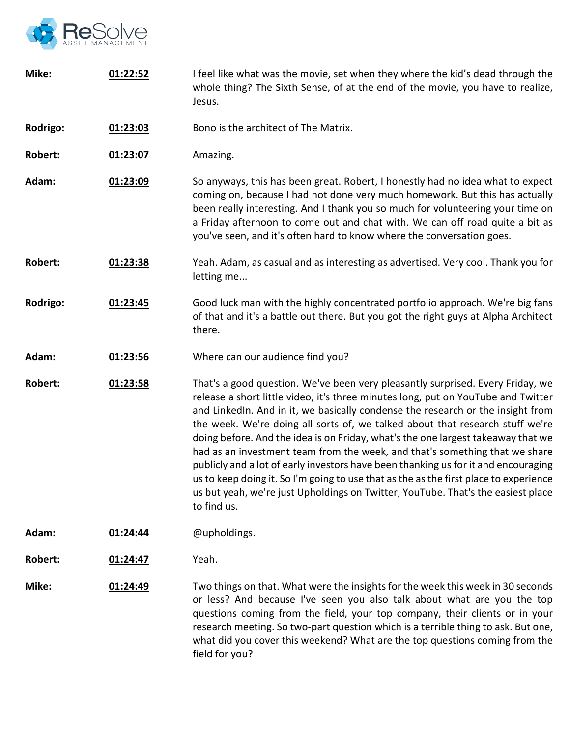

| Mike:          | 01:22:52 | I feel like what was the movie, set when they where the kid's dead through the<br>whole thing? The Sixth Sense, of at the end of the movie, you have to realize,<br>Jesus.                                                                                                                                                                                                                                                                                                                                                                                                                                                                                                                                                                                                                   |
|----------------|----------|----------------------------------------------------------------------------------------------------------------------------------------------------------------------------------------------------------------------------------------------------------------------------------------------------------------------------------------------------------------------------------------------------------------------------------------------------------------------------------------------------------------------------------------------------------------------------------------------------------------------------------------------------------------------------------------------------------------------------------------------------------------------------------------------|
| Rodrigo:       | 01:23:03 | Bono is the architect of The Matrix.                                                                                                                                                                                                                                                                                                                                                                                                                                                                                                                                                                                                                                                                                                                                                         |
| <b>Robert:</b> | 01:23:07 | Amazing.                                                                                                                                                                                                                                                                                                                                                                                                                                                                                                                                                                                                                                                                                                                                                                                     |
| Adam:          | 01:23:09 | So anyways, this has been great. Robert, I honestly had no idea what to expect<br>coming on, because I had not done very much homework. But this has actually<br>been really interesting. And I thank you so much for volunteering your time on<br>a Friday afternoon to come out and chat with. We can off road quite a bit as<br>you've seen, and it's often hard to know where the conversation goes.                                                                                                                                                                                                                                                                                                                                                                                     |
| <b>Robert:</b> | 01:23:38 | Yeah. Adam, as casual and as interesting as advertised. Very cool. Thank you for<br>letting me                                                                                                                                                                                                                                                                                                                                                                                                                                                                                                                                                                                                                                                                                               |
| Rodrigo:       | 01:23:45 | Good luck man with the highly concentrated portfolio approach. We're big fans<br>of that and it's a battle out there. But you got the right guys at Alpha Architect<br>there.                                                                                                                                                                                                                                                                                                                                                                                                                                                                                                                                                                                                                |
| Adam:          | 01:23:56 | Where can our audience find you?                                                                                                                                                                                                                                                                                                                                                                                                                                                                                                                                                                                                                                                                                                                                                             |
| <b>Robert:</b> | 01:23:58 | That's a good question. We've been very pleasantly surprised. Every Friday, we<br>release a short little video, it's three minutes long, put on YouTube and Twitter<br>and LinkedIn. And in it, we basically condense the research or the insight from<br>the week. We're doing all sorts of, we talked about that research stuff we're<br>doing before. And the idea is on Friday, what's the one largest takeaway that we<br>had as an investment team from the week, and that's something that we share<br>publicly and a lot of early investors have been thanking us for it and encouraging<br>us to keep doing it. So I'm going to use that as the as the first place to experience<br>us but yeah, we're just Upholdings on Twitter, YouTube. That's the easiest place<br>to find us. |
| Adam:          | 01:24:44 | @upholdings.                                                                                                                                                                                                                                                                                                                                                                                                                                                                                                                                                                                                                                                                                                                                                                                 |
| Robert:        | 01:24:47 | Yeah.                                                                                                                                                                                                                                                                                                                                                                                                                                                                                                                                                                                                                                                                                                                                                                                        |
| Mike:          | 01:24:49 | Two things on that. What were the insights for the week this week in 30 seconds<br>or less? And because I've seen you also talk about what are you the top<br>questions coming from the field, your top company, their clients or in your<br>research meeting. So two-part question which is a terrible thing to ask. But one,<br>what did you cover this weekend? What are the top questions coming from the<br>field for you?                                                                                                                                                                                                                                                                                                                                                              |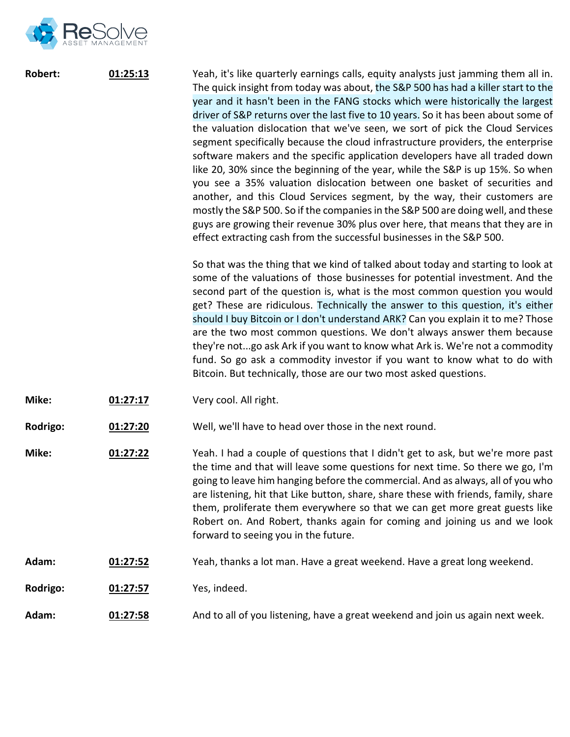

| Robert: | 01:25:13 | Yeah, it's like quarterly earnings calls, equity analysts just jamming them all in.                            |
|---------|----------|----------------------------------------------------------------------------------------------------------------|
|         |          | The quick insight from today was about, the S&P 500 has had a killer start to the                              |
|         |          | year and it hasn't been in the FANG stocks which were historically the largest                                 |
|         |          | driver of S&P returns over the last five to 10 years. So it has been about some of                             |
|         |          | the valuation dislocation that we've seen, we sort of pick the Cloud Services                                  |
|         |          | segment specifically because the cloud infrastructure providers, the enterprise                                |
|         |          | software makers and the specific application developers have all traded down                                   |
|         |          | like 20, 30% since the beginning of the year, while the S&P is up 15%. So when                                 |
|         |          | you see a 35% valuation dislocation between one basket of securities and                                       |
|         |          | another, and this Cloud Services segment, by the way, their customers are                                      |
|         |          | mostly the S&P 500. So if the companies in the S&P 500 are doing well, and these                               |
|         |          | guys are growing their revenue 30% plus over here, that means that they are in                                 |
|         |          | effect extracting cash from the successful businesses in the S&P 500.                                          |
|         |          | So that was the thing that we kind of talked about today and starting to look at                               |
|         |          | some of the valuations of those businesses for potential investment. And the                                   |
|         |          | and the first contract of the state of the contract of the contract of the contract of the contract of the con |

second part of the question is, what is the most common question you would get? These are ridiculous. Technically the answer to this question, it's either should I buy Bitcoin or I don't understand ARK? Can you explain it to me? Those are the two most common questions. We don't always answer them because they're not...go ask Ark if you want to know what Ark is. We're not a commodity fund. So go ask a commodity investor if you want to know what to do with Bitcoin. But technically, those are our two most asked questions.

- **Mike: 01:27:17** Very cool. All right.
- **Rodrigo: 01:27:20** Well, we'll have to head over those in the next round.
- **Mike: 01:27:22** Yeah. I had a couple of questions that I didn't get to ask, but we're more past the time and that will leave some questions for next time. So there we go, I'm going to leave him hanging before the commercial. And as always, all of you who are listening, hit that Like button, share, share these with friends, family, share them, proliferate them everywhere so that we can get more great guests like Robert on. And Robert, thanks again for coming and joining us and we look forward to seeing you in the future.
- **Adam: 01:27:52** Yeah, thanks a lot man. Have a great weekend. Have a great long weekend.
- **Rodrigo: 01:27:57** Yes, indeed.
- **Adam: 01:27:58** And to all of you listening, have a great weekend and join us again next week.